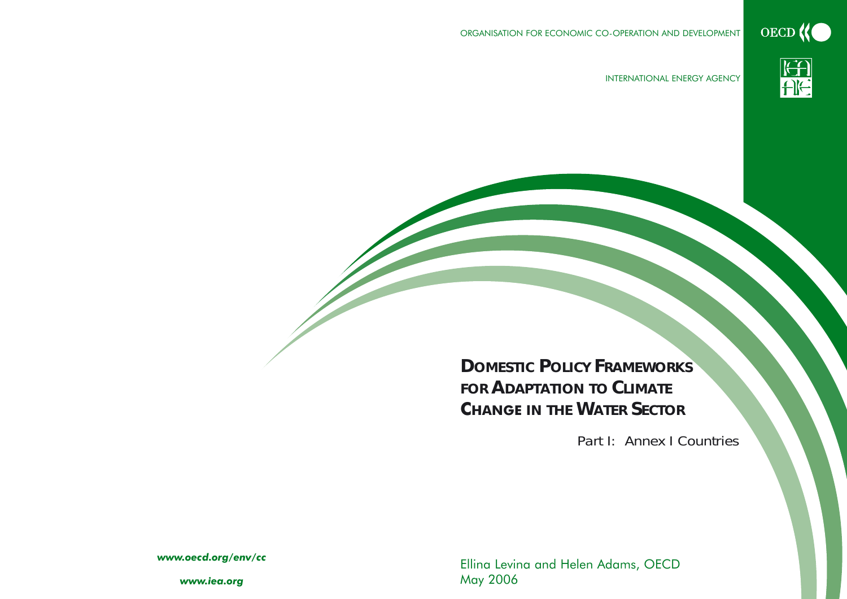ORGANISATION FOR ECONOMIC CO-OPERATION AND DEVELOPMENT





INTERNATIONAL ENERGY AGENCY

# **DOMESTIC POLICY FRAMEWORKSFOR ADAPTATION TO CLIMATECHANGE IN THE WATERSECTOR**

*Part I: Annex I Countries*

Ellina Levina and Helen Adams, OECD May 200 6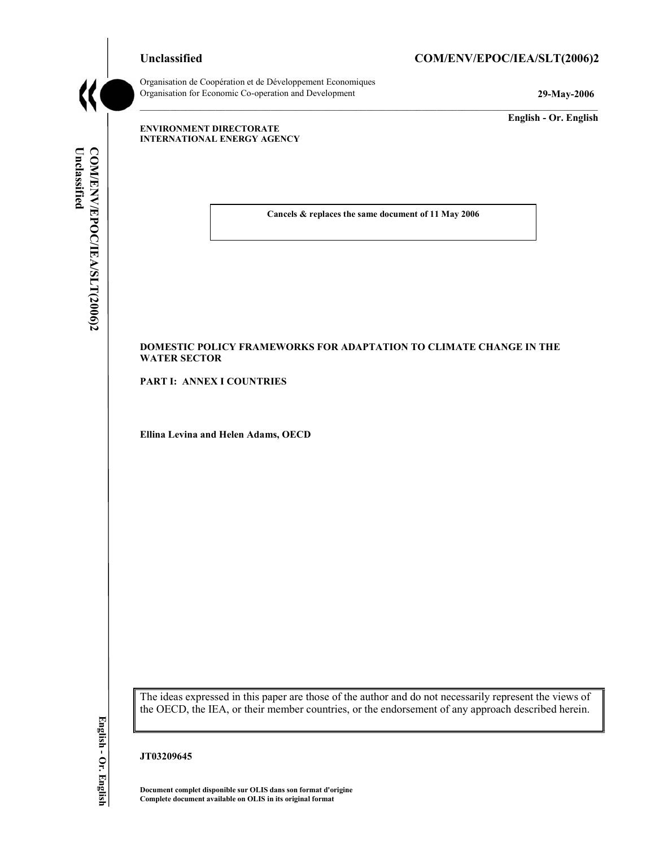#### Unclassified COM/ENV/EPOC/IEA/SLT(2006)2



Organisation de Coopération et de Développement Economiques Organisation for Economic Co-operation and Development **29-May-2006** 

**English - Or. English** 

#### **ENVIRONMENT DIRECTORATE INTERNATIONAL ENERGY AGENCY**

**Cancels & replaces the same document of 11 May 2006** 

 $\mathcal{L}_\mathcal{L}$ 

#### **DOMESTIC POLICY FRAMEWORKS FOR ADAPTATION TO CLIMATE CHANGE IN THE WATER SECTOR**

**PART I: ANNEX I COUNTRIES** 

**Ellina Levina and Helen Adams, OECD** 

The ideas expressed in this paper are those of the author and do not necessarily represent the views of the OECD, the IEA, or their member countries, or the endorsement of any approach described herein.

**JT03209645** 

**Document complet disponible sur OLIS dans son format d'origine Complete document available on OLIS in its original format**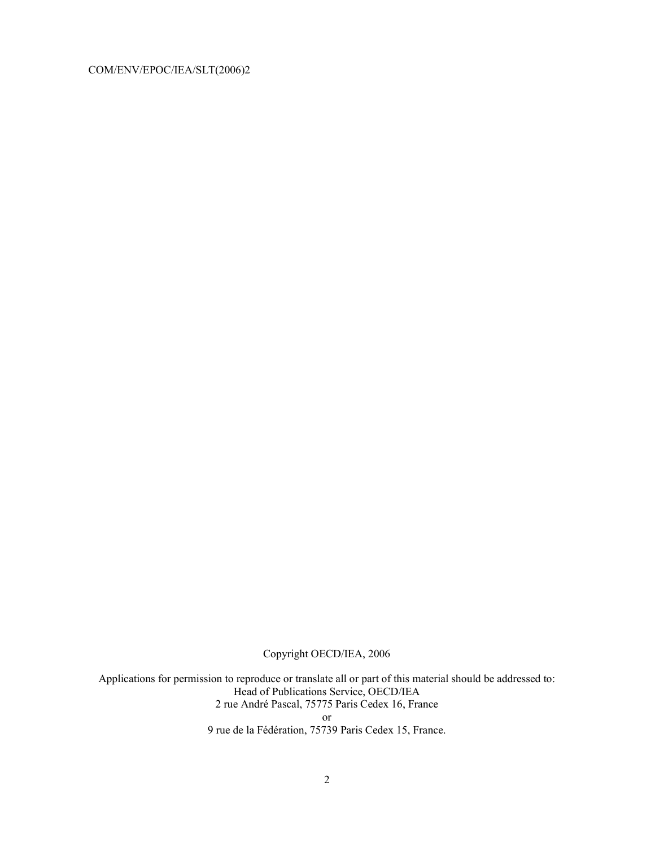Copyright OECD/IEA, 2006

Applications for permission to reproduce or translate all or part of this material should be addressed to: Head of Publications Service, OECD/IEA 2 rue André Pascal, 75775 Paris Cedex 16, France or

9 rue de la Fédération, 75739 Paris Cedex 15, France.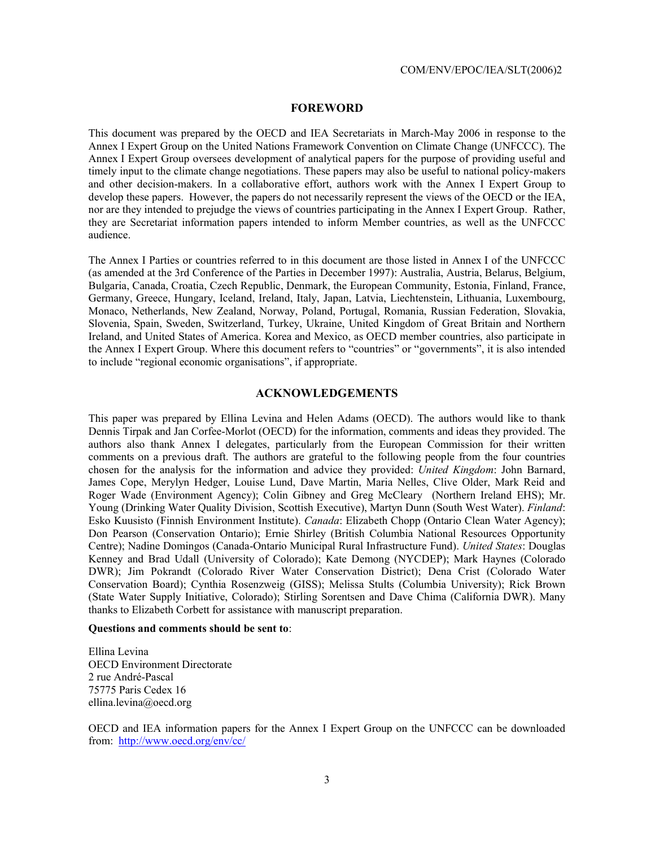#### **FOREWORD**

This document was prepared by the OECD and IEA Secretariats in March-May 2006 in response to the Annex I Expert Group on the United Nations Framework Convention on Climate Change (UNFCCC). The Annex I Expert Group oversees development of analytical papers for the purpose of providing useful and timely input to the climate change negotiations. These papers may also be useful to national policy-makers and other decision-makers. In a collaborative effort, authors work with the Annex I Expert Group to develop these papers. However, the papers do not necessarily represent the views of the OECD or the IEA, nor are they intended to prejudge the views of countries participating in the Annex I Expert Group. Rather, they are Secretariat information papers intended to inform Member countries, as well as the UNFCCC audience.

The Annex I Parties or countries referred to in this document are those listed in Annex I of the UNFCCC (as amended at the 3rd Conference of the Parties in December 1997): Australia, Austria, Belarus, Belgium, Bulgaria, Canada, Croatia, Czech Republic, Denmark, the European Community, Estonia, Finland, France, Germany, Greece, Hungary, Iceland, Ireland, Italy, Japan, Latvia, Liechtenstein, Lithuania, Luxembourg, Monaco, Netherlands, New Zealand, Norway, Poland, Portugal, Romania, Russian Federation, Slovakia, Slovenia, Spain, Sweden, Switzerland, Turkey, Ukraine, United Kingdom of Great Britain and Northern Ireland, and United States of America. Korea and Mexico, as OECD member countries, also participate in the Annex I Expert Group. Where this document refers to "countries" or "governments", it is also intended to include "regional economic organisations", if appropriate.

#### **ACKNOWLEDGEMENTS**

This paper was prepared by Ellina Levina and Helen Adams (OECD). The authors would like to thank Dennis Tirpak and Jan Corfee-Morlot (OECD) for the information, comments and ideas they provided. The authors also thank Annex I delegates, particularly from the European Commission for their written comments on a previous draft. The authors are grateful to the following people from the four countries chosen for the analysis for the information and advice they provided: *United Kingdom*: John Barnard, James Cope, Merylyn Hedger, Louise Lund, Dave Martin, Maria Nelles, Clive Older, Mark Reid and Roger Wade (Environment Agency); Colin Gibney and Greg McCleary (Northern Ireland EHS); Mr. Young (Drinking Water Quality Division, Scottish Executive), Martyn Dunn (South West Water). *Finland*: Esko Kuusisto (Finnish Environment Institute). *Canada*: Elizabeth Chopp (Ontario Clean Water Agency); Don Pearson (Conservation Ontario); Ernie Shirley (British Columbia National Resources Opportunity Centre); Nadine Domingos (Canada-Ontario Municipal Rural Infrastructure Fund). *United States*: Douglas Kenney and Brad Udall (University of Colorado); Kate Demong (NYCDEP); Mark Haynes (Colorado DWR); Jim Pokrandt (Colorado River Water Conservation District); Dena Crist (Colorado Water Conservation Board); Cynthia Rosenzweig (GISS); Melissa Stults (Columbia University); Rick Brown (State Water Supply Initiative, Colorado); Stirling Sorentsen and Dave Chima (California DWR). Many thanks to Elizabeth Corbett for assistance with manuscript preparation.

#### **Questions and comments should be sent to**:

Ellina Levina OECD Environment Directorate 2 rue André-Pascal 75775 Paris Cedex 16 ellina.levina@oecd.org

OECD and IEA information papers for the Annex I Expert Group on the UNFCCC can be downloaded from: http://www.oecd.org/env/cc/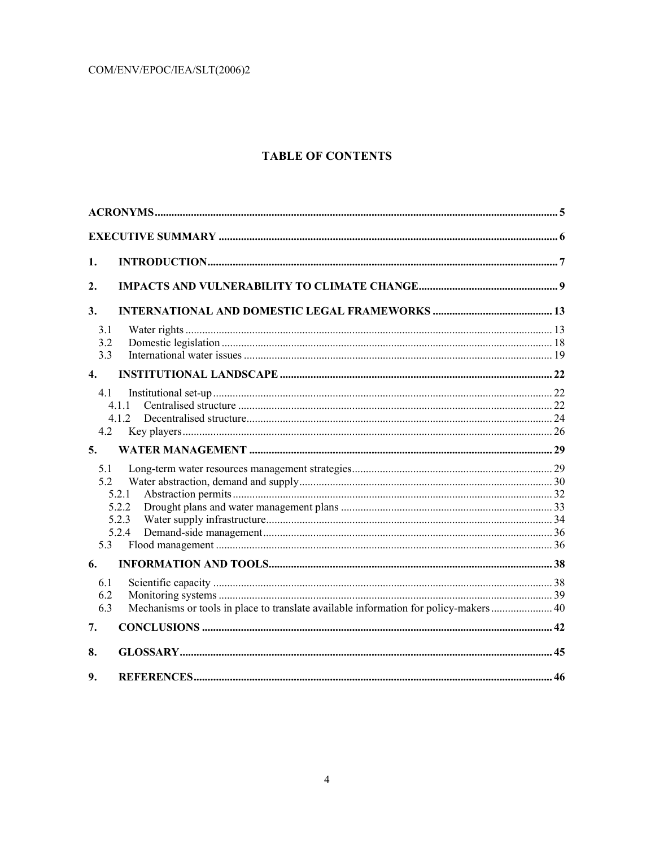#### **TABLE OF CONTENTS**

| 1.                 |                |  |
|--------------------|----------------|--|
| 2.                 |                |  |
| 3.                 |                |  |
| 3.1                |                |  |
| 3.2                |                |  |
| 3.3                |                |  |
| $\boldsymbol{4}$ . |                |  |
| 4.1                |                |  |
|                    | 4 1 1          |  |
|                    | 4 1 2          |  |
| 4.2                |                |  |
| 5.                 |                |  |
| 5.1                |                |  |
| 5.2                |                |  |
|                    | 5.2.1          |  |
|                    | 5.2.2          |  |
|                    | 5.2.3<br>5.2.4 |  |
| 5.3                |                |  |
| 6.                 |                |  |
|                    |                |  |
| 6.1                |                |  |
| 6.2<br>6.3         |                |  |
|                    |                |  |
| 7.                 |                |  |
| 8.                 |                |  |
| 9.                 |                |  |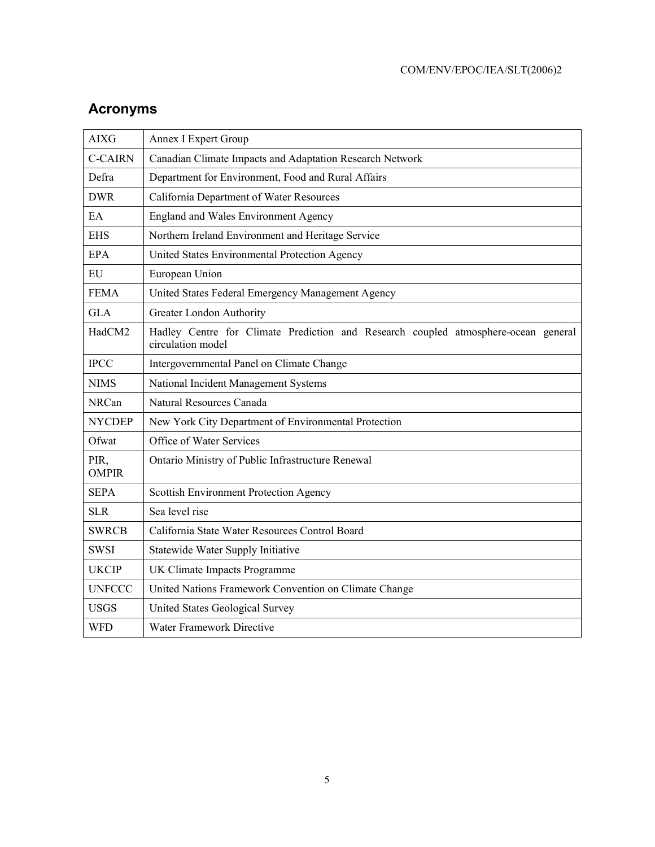| <b>AIXG</b>          | <b>Annex I Expert Group</b>                                                                             |  |  |  |  |
|----------------------|---------------------------------------------------------------------------------------------------------|--|--|--|--|
| <b>C-CAIRN</b>       | Canadian Climate Impacts and Adaptation Research Network                                                |  |  |  |  |
| Defra                | Department for Environment, Food and Rural Affairs                                                      |  |  |  |  |
| <b>DWR</b>           | California Department of Water Resources                                                                |  |  |  |  |
| EA                   | <b>England and Wales Environment Agency</b>                                                             |  |  |  |  |
| <b>EHS</b>           | Northern Ireland Environment and Heritage Service                                                       |  |  |  |  |
| <b>EPA</b>           | United States Environmental Protection Agency                                                           |  |  |  |  |
| <b>EU</b>            | European Union                                                                                          |  |  |  |  |
| <b>FEMA</b>          | United States Federal Emergency Management Agency                                                       |  |  |  |  |
| <b>GLA</b>           | Greater London Authority                                                                                |  |  |  |  |
| HadCM2               | Hadley Centre for Climate Prediction and Research coupled atmosphere-ocean general<br>circulation model |  |  |  |  |
| <b>IPCC</b>          | Intergovernmental Panel on Climate Change                                                               |  |  |  |  |
| <b>NIMS</b>          | National Incident Management Systems                                                                    |  |  |  |  |
| <b>NRCan</b>         | Natural Resources Canada                                                                                |  |  |  |  |
| <b>NYCDEP</b>        | New York City Department of Environmental Protection                                                    |  |  |  |  |
| Ofwat                | Office of Water Services                                                                                |  |  |  |  |
| PIR,<br><b>OMPIR</b> | Ontario Ministry of Public Infrastructure Renewal                                                       |  |  |  |  |
| <b>SEPA</b>          | Scottish Environment Protection Agency                                                                  |  |  |  |  |
| <b>SLR</b>           | Sea level rise                                                                                          |  |  |  |  |
| <b>SWRCB</b>         | California State Water Resources Control Board                                                          |  |  |  |  |
| <b>SWSI</b>          | Statewide Water Supply Initiative                                                                       |  |  |  |  |
| <b>UKCIP</b>         | UK Climate Impacts Programme                                                                            |  |  |  |  |
| <b>UNFCCC</b>        | United Nations Framework Convention on Climate Change                                                   |  |  |  |  |
| <b>USGS</b>          | United States Geological Survey                                                                         |  |  |  |  |
| <b>WFD</b>           | Water Framework Directive                                                                               |  |  |  |  |

## **Acronyms**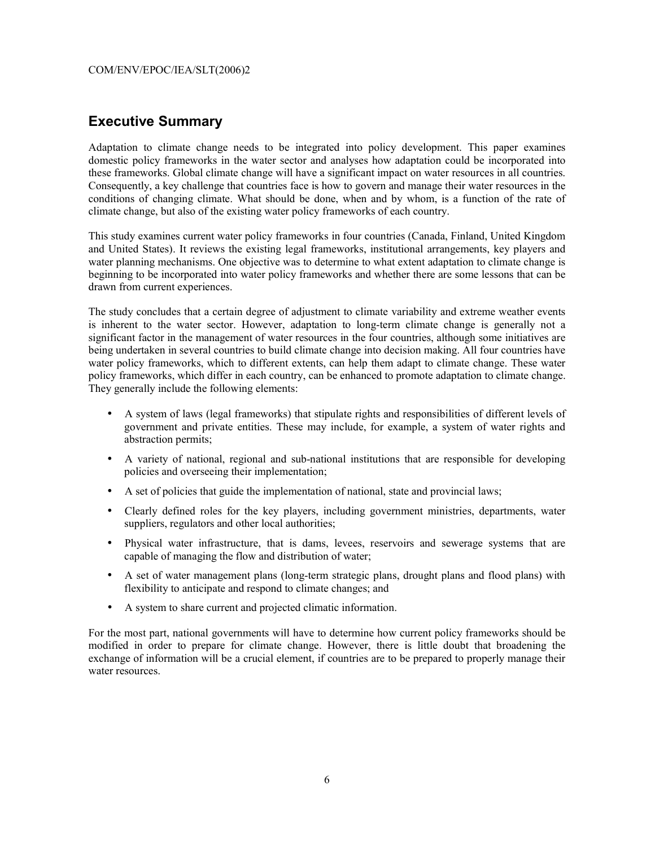### **Executive Summary**

Adaptation to climate change needs to be integrated into policy development. This paper examines domestic policy frameworks in the water sector and analyses how adaptation could be incorporated into these frameworks. Global climate change will have a significant impact on water resources in all countries. Consequently, a key challenge that countries face is how to govern and manage their water resources in the conditions of changing climate. What should be done, when and by whom, is a function of the rate of climate change, but also of the existing water policy frameworks of each country.

This study examines current water policy frameworks in four countries (Canada, Finland, United Kingdom and United States). It reviews the existing legal frameworks, institutional arrangements, key players and water planning mechanisms. One objective was to determine to what extent adaptation to climate change is beginning to be incorporated into water policy frameworks and whether there are some lessons that can be drawn from current experiences.

The study concludes that a certain degree of adjustment to climate variability and extreme weather events is inherent to the water sector. However, adaptation to long-term climate change is generally not a significant factor in the management of water resources in the four countries, although some initiatives are being undertaken in several countries to build climate change into decision making. All four countries have water policy frameworks, which to different extents, can help them adapt to climate change. These water policy frameworks, which differ in each country, can be enhanced to promote adaptation to climate change. They generally include the following elements:

- A system of laws (legal frameworks) that stipulate rights and responsibilities of different levels of government and private entities. These may include, for example, a system of water rights and abstraction permits;
- A variety of national, regional and sub-national institutions that are responsible for developing policies and overseeing their implementation;
- A set of policies that guide the implementation of national, state and provincial laws;
- Clearly defined roles for the key players, including government ministries, departments, water suppliers, regulators and other local authorities;
- Physical water infrastructure, that is dams, levees, reservoirs and sewerage systems that are capable of managing the flow and distribution of water;
- A set of water management plans (long-term strategic plans, drought plans and flood plans) with flexibility to anticipate and respond to climate changes; and
- A system to share current and projected climatic information.

For the most part, national governments will have to determine how current policy frameworks should be modified in order to prepare for climate change. However, there is little doubt that broadening the exchange of information will be a crucial element, if countries are to be prepared to properly manage their water resources.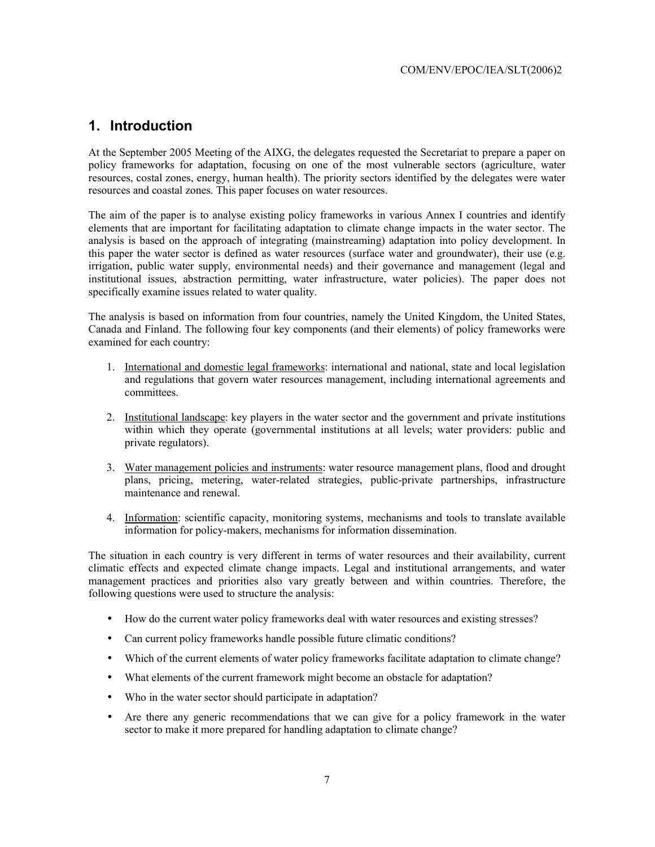### **1. Introduction**

At the September 2005 Meeting of the AIXG, the delegates requested the Secretariat to prepare a paper on policy frameworks for adaptation, focusing on one of the most vulnerable sectors (agriculture, water resources, costal zones, energy, human health). The priority sectors identified by the delegates were water resources and coastal zones. This paper focuses on water resources.

The aim of the paper is to analyse existing policy frameworks in various Annex I countries and identify elements that are important for facilitating adaptation to climate change impacts in the water sector. The analysis is based on the approach of integrating (mainstreaming) adaptation into policy development. In this paper the water sector is defined as water resources (surface water and groundwater), their use (e.g. irrigation, public water supply, environmental needs) and their governance and management (legal and institutional issues, abstraction permitting, water infrastructure, water policies). The paper does not specifically examine issues related to water quality.

The analysis is based on information from four countries, namely the United Kingdom, the United States, Canada and Finland. The following four key components (and their elements) of policy frameworks were examined for each country:

- 1. International and domestic legal frameworks: international and national, state and local legislation and regulations that govern water resources management, including international agreements and committees.
- 2. Institutional landscape: key players in the water sector and the government and private institutions within which they operate (governmental institutions at all levels; water providers: public and private regulators).
- 3. Water management policies and instruments: water resource management plans, flood and drought plans, pricing, metering, water-related strategies, public-private partnerships, infrastructure maintenance and renewal.
- 4. Information: scientific capacity, monitoring systems, mechanisms and tools to translate available information for policy-makers, mechanisms for information dissemination.

The situation in each country is very different in terms of water resources and their availability, current climatic effects and expected climate change impacts. Legal and institutional arrangements, and water management practices and priorities also vary greatly between and within countries. Therefore, the following questions were used to structure the analysis:

- How do the current water policy frameworks deal with water resources and existing stresses?
- Can current policy frameworks handle possible future climatic conditions?
- Which of the current elements of water policy frameworks facilitate adaptation to climate change?
- What elements of the current framework might become an obstacle for adaptation?
- Who in the water sector should participate in adaptation?
- Are there any generic recommendations that we can give for a policy framework in the water sector to make it more prepared for handling adaptation to climate change?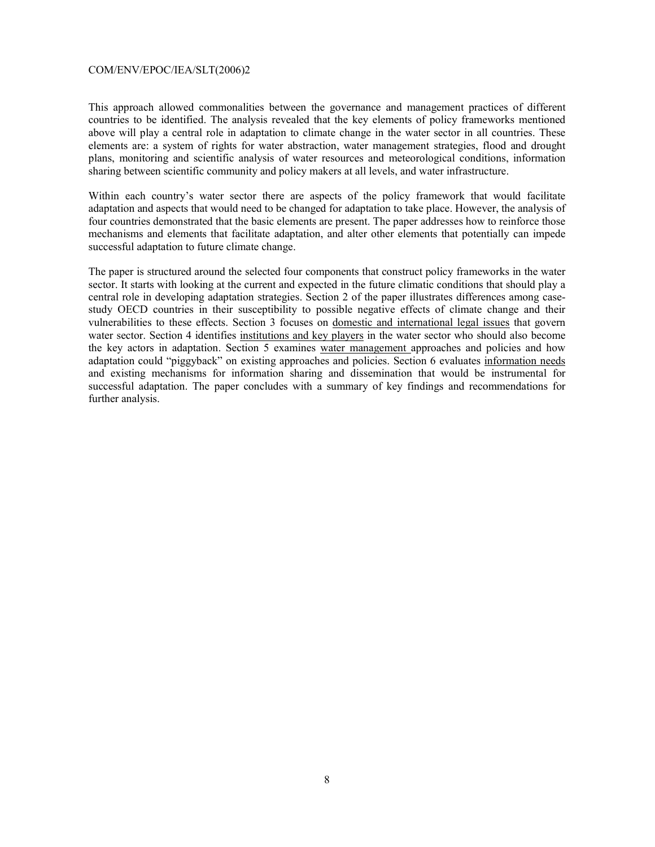This approach allowed commonalities between the governance and management practices of different countries to be identified. The analysis revealed that the key elements of policy frameworks mentioned above will play a central role in adaptation to climate change in the water sector in all countries. These elements are: a system of rights for water abstraction, water management strategies, flood and drought plans, monitoring and scientific analysis of water resources and meteorological conditions, information sharing between scientific community and policy makers at all levels, and water infrastructure.

Within each country's water sector there are aspects of the policy framework that would facilitate adaptation and aspects that would need to be changed for adaptation to take place. However, the analysis of four countries demonstrated that the basic elements are present. The paper addresses how to reinforce those mechanisms and elements that facilitate adaptation, and alter other elements that potentially can impede successful adaptation to future climate change.

The paper is structured around the selected four components that construct policy frameworks in the water sector. It starts with looking at the current and expected in the future climatic conditions that should play a central role in developing adaptation strategies. Section 2 of the paper illustrates differences among casestudy OECD countries in their susceptibility to possible negative effects of climate change and their vulnerabilities to these effects. Section 3 focuses on domestic and international legal issues that govern water sector. Section 4 identifies institutions and key players in the water sector who should also become the key actors in adaptation. Section 5 examines water management approaches and policies and how adaptation could "piggyback" on existing approaches and policies. Section 6 evaluates information needs and existing mechanisms for information sharing and dissemination that would be instrumental for successful adaptation. The paper concludes with a summary of key findings and recommendations for further analysis.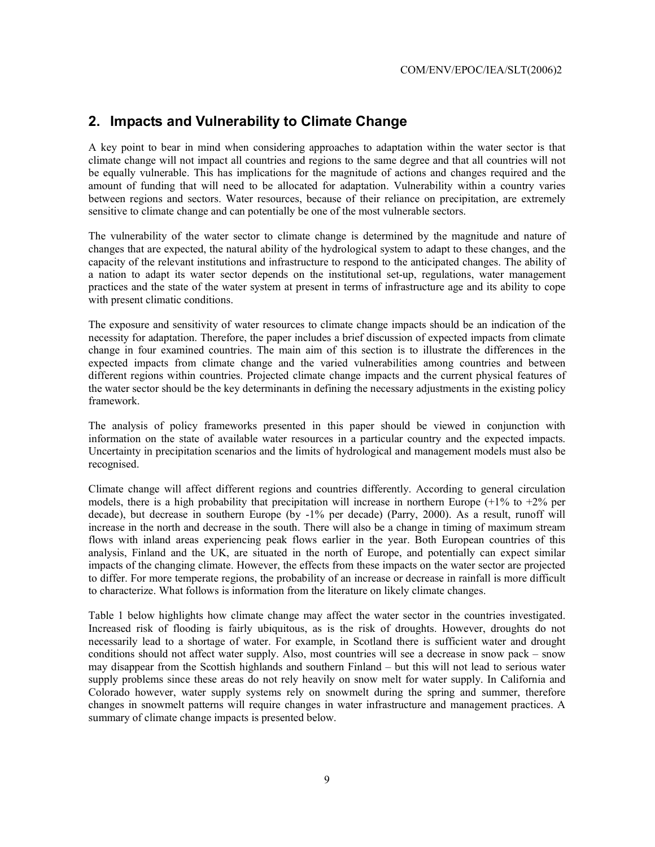#### **2. Impacts and Vulnerability to Climate Change**

A key point to bear in mind when considering approaches to adaptation within the water sector is that climate change will not impact all countries and regions to the same degree and that all countries will not be equally vulnerable. This has implications for the magnitude of actions and changes required and the amount of funding that will need to be allocated for adaptation. Vulnerability within a country varies between regions and sectors. Water resources, because of their reliance on precipitation, are extremely sensitive to climate change and can potentially be one of the most vulnerable sectors.

The vulnerability of the water sector to climate change is determined by the magnitude and nature of changes that are expected, the natural ability of the hydrological system to adapt to these changes, and the capacity of the relevant institutions and infrastructure to respond to the anticipated changes. The ability of a nation to adapt its water sector depends on the institutional set-up, regulations, water management practices and the state of the water system at present in terms of infrastructure age and its ability to cope with present climatic conditions.

The exposure and sensitivity of water resources to climate change impacts should be an indication of the necessity for adaptation. Therefore, the paper includes a brief discussion of expected impacts from climate change in four examined countries. The main aim of this section is to illustrate the differences in the expected impacts from climate change and the varied vulnerabilities among countries and between different regions within countries. Projected climate change impacts and the current physical features of the water sector should be the key determinants in defining the necessary adjustments in the existing policy framework.

The analysis of policy frameworks presented in this paper should be viewed in conjunction with information on the state of available water resources in a particular country and the expected impacts. Uncertainty in precipitation scenarios and the limits of hydrological and management models must also be recognised.

Climate change will affect different regions and countries differently. According to general circulation models, there is a high probability that precipitation will increase in northern Europe  $(+1\%$  to  $+2\%$  per decade), but decrease in southern Europe (by -1% per decade) (Parry, 2000). As a result, runoff will increase in the north and decrease in the south. There will also be a change in timing of maximum stream flows with inland areas experiencing peak flows earlier in the year. Both European countries of this analysis, Finland and the UK, are situated in the north of Europe, and potentially can expect similar impacts of the changing climate. However, the effects from these impacts on the water sector are projected to differ. For more temperate regions, the probability of an increase or decrease in rainfall is more difficult to characterize. What follows is information from the literature on likely climate changes.

Table 1 below highlights how climate change may affect the water sector in the countries investigated. Increased risk of flooding is fairly ubiquitous, as is the risk of droughts. However, droughts do not necessarily lead to a shortage of water. For example, in Scotland there is sufficient water and drought conditions should not affect water supply. Also, most countries will see a decrease in snow pack – snow may disappear from the Scottish highlands and southern Finland – but this will not lead to serious water supply problems since these areas do not rely heavily on snow melt for water supply. In California and Colorado however, water supply systems rely on snowmelt during the spring and summer, therefore changes in snowmelt patterns will require changes in water infrastructure and management practices. A summary of climate change impacts is presented below.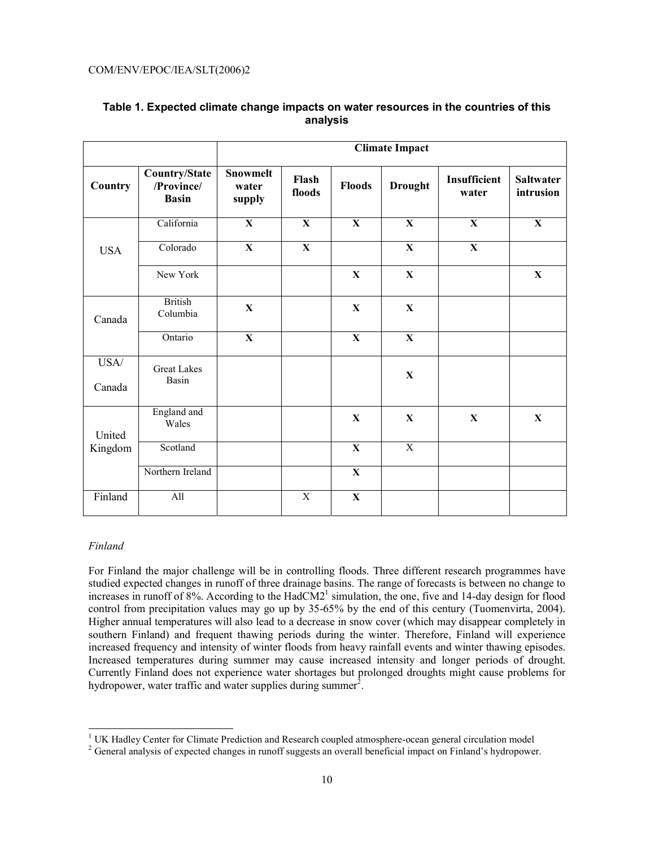|                |                                                    | <b>Climate Impact</b>              |                 |               |                         |                       |                               |
|----------------|----------------------------------------------------|------------------------------------|-----------------|---------------|-------------------------|-----------------------|-------------------------------|
| Country        | <b>Country/State</b><br>/Province/<br><b>Basin</b> | <b>Snowmelt</b><br>water<br>supply | Flash<br>floods | <b>Floods</b> | <b>Drought</b>          | Insufficient<br>water | <b>Saltwater</b><br>intrusion |
|                | California                                         | $\overline{\mathbf{X}}$            | $\mathbf{X}$    | $\mathbf{X}$  | $\overline{\mathbf{X}}$ | $\mathbf{X}$          | $\mathbf{X}$                  |
| <b>USA</b>     | Colorado                                           | $\mathbf X$                        | $\mathbf X$     |               | $\mathbf X$             | $\mathbf X$           |                               |
|                | New York                                           |                                    |                 | $\mathbf{X}$  | $\mathbf X$             |                       | X                             |
| Canada         | <b>British</b><br>Columbia                         | $\mathbf X$                        |                 | $\mathbf X$   | $\mathbf X$             |                       |                               |
|                | Ontario                                            | $\mathbf X$                        |                 | $\mathbf X$   | $\mathbf X$             |                       |                               |
| USA/<br>Canada | <b>Great Lakes</b><br>Basin                        |                                    |                 |               | $\mathbf X$             |                       |                               |
| United         | England and<br>Wales                               |                                    |                 | $\mathbf X$   | $\mathbf X$             | $\mathbf{X}$          | $\mathbf X$                   |
| Kingdom        | Scotland                                           |                                    |                 | $\mathbf X$   | $\overline{X}$          |                       |                               |
|                | Northern Ireland                                   |                                    |                 | $\mathbf X$   |                         |                       |                               |
| Finland        | All                                                |                                    | $\mathbf X$     | $\mathbf X$   |                         |                       |                               |

#### **Table 1. Expected climate change impacts on water resources in the countries of this analysis**

#### *Finland*

For Finland the major challenge will be in controlling floods. Three different research programmes have studied expected changes in runoff of three drainage basins. The range of forecasts is between no change to increases in runoff of  $8\%$ . According to the HadCM2<sup>1</sup> simulation, the one, five and 14-day design for flood control from precipitation values may go up by 35-65% by the end of this century (Tuomenvirta, 2004). Higher annual temperatures will also lead to a decrease in snow cover (which may disappear completely in southern Finland) and frequent thawing periods during the winter. Therefore, Finland will experience increased frequency and intensity of winter floods from heavy rainfall events and winter thawing episodes. Increased temperatures during summer may cause increased intensity and longer periods of drought. Currently Finland does not experience water shortages but prolonged droughts might cause problems for hydropower, water traffic and water supplies during summer<sup>2</sup>.

<sup>&</sup>lt;sup>1</sup> UK Hadley Center for Climate Prediction and Research coupled atmosphere-ocean general circulation model<br><sup>2</sup> Ceneral analysis of aynasted abances in runoff systems are systemly baneficial impact on Einland's hydronous

<sup>&</sup>lt;sup>2</sup> General analysis of expected changes in runoff suggests an overall beneficial impact on Finland's hydropower.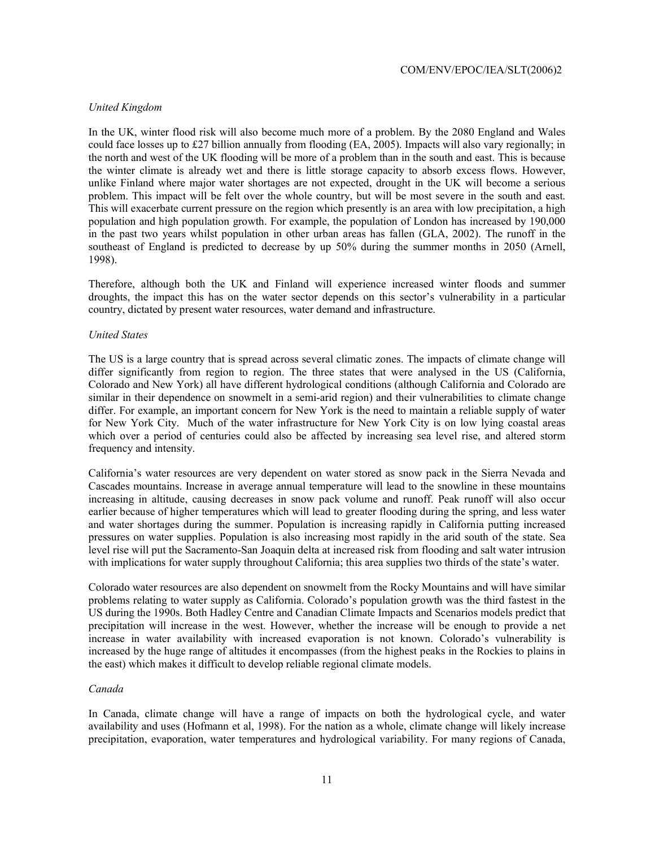#### *United Kingdom*

In the UK, winter flood risk will also become much more of a problem. By the 2080 England and Wales could face losses up to £27 billion annually from flooding (EA, 2005). Impacts will also vary regionally; in the north and west of the UK flooding will be more of a problem than in the south and east. This is because the winter climate is already wet and there is little storage capacity to absorb excess flows. However, unlike Finland where major water shortages are not expected, drought in the UK will become a serious problem. This impact will be felt over the whole country, but will be most severe in the south and east. This will exacerbate current pressure on the region which presently is an area with low precipitation, a high population and high population growth. For example, the population of London has increased by 190,000 in the past two years whilst population in other urban areas has fallen (GLA, 2002). The runoff in the southeast of England is predicted to decrease by up 50% during the summer months in 2050 (Arnell, 1998).

Therefore, although both the UK and Finland will experience increased winter floods and summer droughts, the impact this has on the water sector depends on this sector's vulnerability in a particular country, dictated by present water resources, water demand and infrastructure.

#### *United States*

The US is a large country that is spread across several climatic zones. The impacts of climate change will differ significantly from region to region. The three states that were analysed in the US (California, Colorado and New York) all have different hydrological conditions (although California and Colorado are similar in their dependence on snowmelt in a semi-arid region) and their vulnerabilities to climate change differ. For example, an important concern for New York is the need to maintain a reliable supply of water for New York City. Much of the water infrastructure for New York City is on low lying coastal areas which over a period of centuries could also be affected by increasing sea level rise, and altered storm frequency and intensity.

California's water resources are very dependent on water stored as snow pack in the Sierra Nevada and Cascades mountains. Increase in average annual temperature will lead to the snowline in these mountains increasing in altitude, causing decreases in snow pack volume and runoff. Peak runoff will also occur earlier because of higher temperatures which will lead to greater flooding during the spring, and less water and water shortages during the summer. Population is increasing rapidly in California putting increased pressures on water supplies. Population is also increasing most rapidly in the arid south of the state. Sea level rise will put the Sacramento-San Joaquin delta at increased risk from flooding and salt water intrusion with implications for water supply throughout California; this area supplies two thirds of the state's water.

Colorado water resources are also dependent on snowmelt from the Rocky Mountains and will have similar problems relating to water supply as California. Colorado's population growth was the third fastest in the US during the 1990s. Both Hadley Centre and Canadian Climate Impacts and Scenarios models predict that precipitation will increase in the west. However, whether the increase will be enough to provide a net increase in water availability with increased evaporation is not known. Colorado's vulnerability is increased by the huge range of altitudes it encompasses (from the highest peaks in the Rockies to plains in the east) which makes it difficult to develop reliable regional climate models.

#### *Canada*

In Canada, climate change will have a range of impacts on both the hydrological cycle, and water availability and uses (Hofmann et al, 1998). For the nation as a whole, climate change will likely increase precipitation, evaporation, water temperatures and hydrological variability. For many regions of Canada,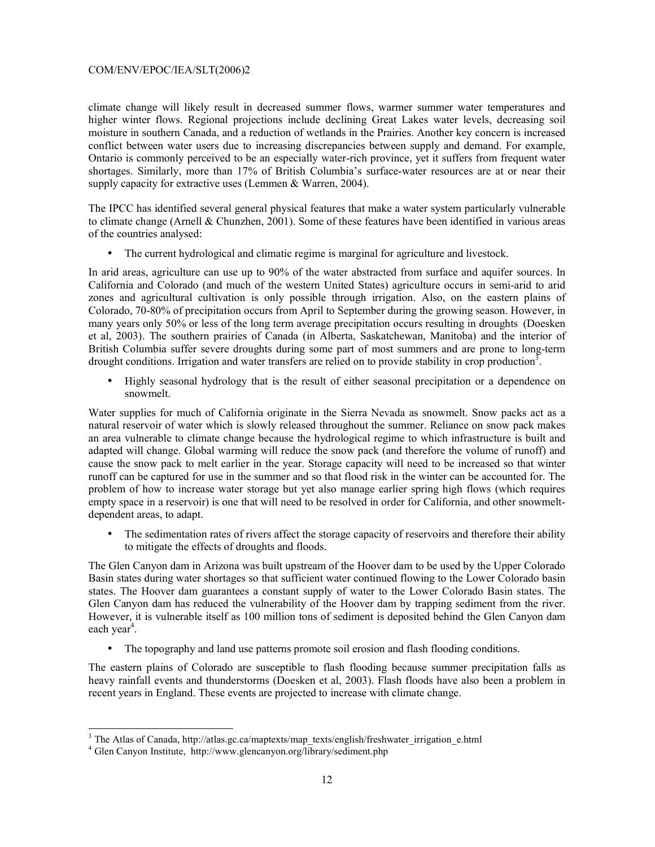climate change will likely result in decreased summer flows, warmer summer water temperatures and higher winter flows. Regional projections include declining Great Lakes water levels, decreasing soil moisture in southern Canada, and a reduction of wetlands in the Prairies. Another key concern is increased conflict between water users due to increasing discrepancies between supply and demand. For example, Ontario is commonly perceived to be an especially water-rich province, yet it suffers from frequent water shortages. Similarly, more than 17% of British Columbia's surface-water resources are at or near their supply capacity for extractive uses (Lemmen & Warren, 2004).

The IPCC has identified several general physical features that make a water system particularly vulnerable to climate change (Arnell & Chunzhen, 2001). Some of these features have been identified in various areas of the countries analysed:

• The current hydrological and climatic regime is marginal for agriculture and livestock.

In arid areas, agriculture can use up to 90% of the water abstracted from surface and aquifer sources. In California and Colorado (and much of the western United States) agriculture occurs in semi-arid to arid zones and agricultural cultivation is only possible through irrigation. Also, on the eastern plains of Colorado, 70-80% of precipitation occurs from April to September during the growing season. However, in many years only 50% or less of the long term average precipitation occurs resulting in droughts (Doesken et al, 2003). The southern prairies of Canada (in Alberta, Saskatchewan, Manitoba) and the interior of British Columbia suffer severe droughts during some part of most summers and are prone to long-term drought conditions. Irrigation and water transfers are relied on to provide stability in crop production<sup>3</sup>.

• Highly seasonal hydrology that is the result of either seasonal precipitation or a dependence on snowmelt.

Water supplies for much of California originate in the Sierra Nevada as snowmelt. Snow packs act as a natural reservoir of water which is slowly released throughout the summer. Reliance on snow pack makes an area vulnerable to climate change because the hydrological regime to which infrastructure is built and adapted will change. Global warming will reduce the snow pack (and therefore the volume of runoff) and cause the snow pack to melt earlier in the year. Storage capacity will need to be increased so that winter runoff can be captured for use in the summer and so that flood risk in the winter can be accounted for. The problem of how to increase water storage but yet also manage earlier spring high flows (which requires empty space in a reservoir) is one that will need to be resolved in order for California, and other snowmeltdependent areas, to adapt.

• The sedimentation rates of rivers affect the storage capacity of reservoirs and therefore their ability to mitigate the effects of droughts and floods.

The Glen Canyon dam in Arizona was built upstream of the Hoover dam to be used by the Upper Colorado Basin states during water shortages so that sufficient water continued flowing to the Lower Colorado basin states. The Hoover dam guarantees a constant supply of water to the Lower Colorado Basin states. The Glen Canyon dam has reduced the vulnerability of the Hoover dam by trapping sediment from the river. However, it is vulnerable itself as 100 million tons of sediment is deposited behind the Glen Canyon dam each year<sup>4</sup>.

• The topography and land use patterns promote soil erosion and flash flooding conditions.

The eastern plains of Colorado are susceptible to flash flooding because summer precipitation falls as heavy rainfall events and thunderstorms (Doesken et al, 2003). Flash floods have also been a problem in recent years in England. These events are projected to increase with climate change.

<sup>&</sup>lt;sup>3</sup> The Atlas of Canada, http://atlas.gc.ca/maptexts/map\_texts/english/freshwater\_irrigation\_e.html

<sup>4</sup> Glen Canyon Institute, http://www.glencanyon.org/library/sediment.php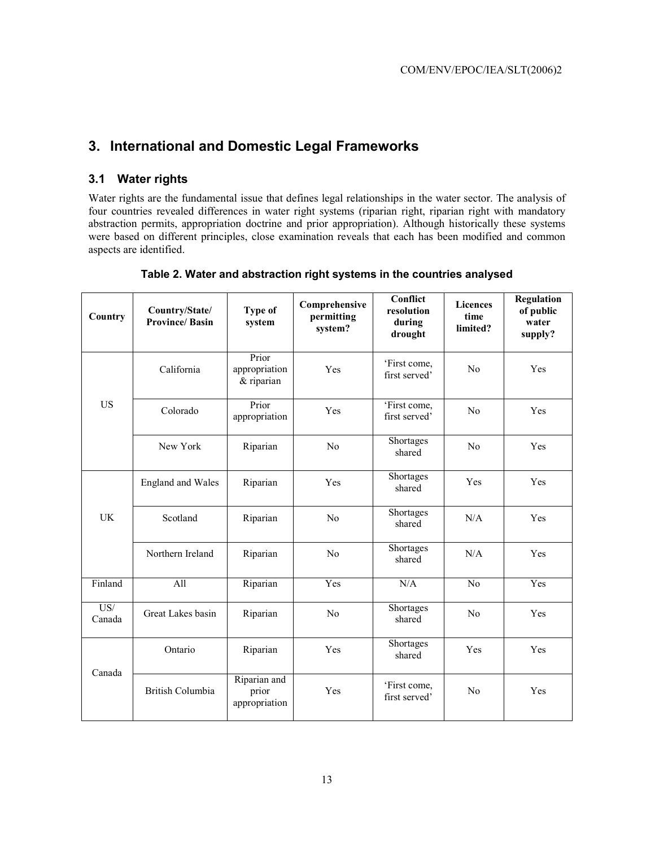### **3. International and Domestic Legal Frameworks**

#### **3.1 Water rights**

Water rights are the fundamental issue that defines legal relationships in the water sector. The analysis of four countries revealed differences in water right systems (riparian right, riparian right with mandatory abstraction permits, appropriation doctrine and prior appropriation). Although historically these systems were based on different principles, close examination reveals that each has been modified and common aspects are identified.

| Country                    | Country/State/<br><b>Province/Basin</b> | Type of<br>system                      | Comprehensive<br>permitting<br>system? | Conflict<br>resolution<br>during<br>drought | <b>Licences</b><br>time<br>limited? | <b>Regulation</b><br>of public<br>water<br>supply? |
|----------------------------|-----------------------------------------|----------------------------------------|----------------------------------------|---------------------------------------------|-------------------------------------|----------------------------------------------------|
|                            | California                              | Prior<br>appropriation<br>& riparian   | Yes                                    | 'First come,<br>first served'               | N <sub>0</sub>                      | Yes                                                |
| <b>US</b>                  | Colorado                                | Prior<br>appropriation                 | Yes                                    | 'First come,<br>first served'               | N <sub>0</sub>                      | Yes                                                |
|                            | New York                                | Riparian                               | N <sub>0</sub>                         | Shortages<br>shared                         | No                                  | Yes                                                |
|                            | <b>England and Wales</b>                | Riparian                               | Yes                                    | Shortages<br>shared                         | Yes                                 | Yes                                                |
| <b>UK</b>                  | Scotland                                | Riparian                               | N <sub>0</sub>                         | Shortages<br>shared                         | N/A                                 | Yes                                                |
|                            | Northern Ireland                        | Riparian                               | N <sub>0</sub>                         | Shortages<br>shared                         | N/A                                 | Yes                                                |
| Finland                    | All                                     | Riparian                               | Yes                                    | N/A                                         | N <sub>0</sub>                      | Yes                                                |
| $\overline{US'}$<br>Canada | Great Lakes basin                       | Riparian                               | N <sub>0</sub>                         | Shortages<br>shared                         | N <sub>0</sub>                      | Yes                                                |
| Canada                     | Ontario                                 | Riparian                               | Yes                                    | Shortages<br>shared                         | Yes                                 | Yes                                                |
|                            | <b>British Columbia</b>                 | Riparian and<br>prior<br>appropriation | Yes                                    | 'First come,<br>first served'               | No                                  | Yes                                                |

#### **Table 2. Water and abstraction right systems in the countries analysed**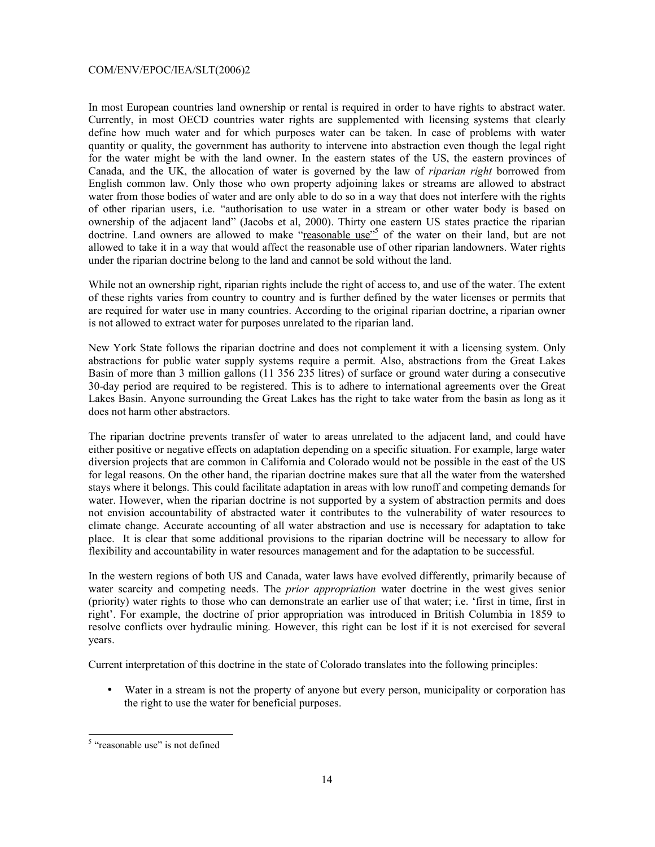In most European countries land ownership or rental is required in order to have rights to abstract water. Currently, in most OECD countries water rights are supplemented with licensing systems that clearly define how much water and for which purposes water can be taken. In case of problems with water quantity or quality, the government has authority to intervene into abstraction even though the legal right for the water might be with the land owner. In the eastern states of the US, the eastern provinces of Canada, and the UK, the allocation of water is governed by the law of *riparian right* borrowed from English common law. Only those who own property adjoining lakes or streams are allowed to abstract water from those bodies of water and are only able to do so in a way that does not interfere with the rights of other riparian users, i.e. "authorisation to use water in a stream or other water body is based on ownership of the adjacent land" (Jacobs et al, 2000). Thirty one eastern US states practice the riparian doctrine. Land owners are allowed to make "reasonable use"<sup>5</sup> of the water on their land, but are not allowed to take it in a way that would affect the reasonable use of other riparian landowners. Water rights under the riparian doctrine belong to the land and cannot be sold without the land.

While not an ownership right, riparian rights include the right of access to, and use of the water. The extent of these rights varies from country to country and is further defined by the water licenses or permits that are required for water use in many countries. According to the original riparian doctrine, a riparian owner is not allowed to extract water for purposes unrelated to the riparian land.

New York State follows the riparian doctrine and does not complement it with a licensing system. Only abstractions for public water supply systems require a permit. Also, abstractions from the Great Lakes Basin of more than 3 million gallons (11 356 235 litres) of surface or ground water during a consecutive 30-day period are required to be registered. This is to adhere to international agreements over the Great Lakes Basin. Anyone surrounding the Great Lakes has the right to take water from the basin as long as it does not harm other abstractors.

The riparian doctrine prevents transfer of water to areas unrelated to the adjacent land, and could have either positive or negative effects on adaptation depending on a specific situation. For example, large water diversion projects that are common in California and Colorado would not be possible in the east of the US for legal reasons. On the other hand, the riparian doctrine makes sure that all the water from the watershed stays where it belongs. This could facilitate adaptation in areas with low runoff and competing demands for water. However, when the riparian doctrine is not supported by a system of abstraction permits and does not envision accountability of abstracted water it contributes to the vulnerability of water resources to climate change. Accurate accounting of all water abstraction and use is necessary for adaptation to take place. It is clear that some additional provisions to the riparian doctrine will be necessary to allow for flexibility and accountability in water resources management and for the adaptation to be successful.

In the western regions of both US and Canada, water laws have evolved differently, primarily because of water scarcity and competing needs. The *prior appropriation* water doctrine in the west gives senior (priority) water rights to those who can demonstrate an earlier use of that water; i.e. 'first in time, first in right'. For example, the doctrine of prior appropriation was introduced in British Columbia in 1859 to resolve conflicts over hydraulic mining. However, this right can be lost if it is not exercised for several years.

Current interpretation of this doctrine in the state of Colorado translates into the following principles:

• Water in a stream is not the property of anyone but every person, municipality or corporation has the right to use the water for beneficial purposes.

<sup>&</sup>lt;sup>5</sup> "reasonable use" is not defined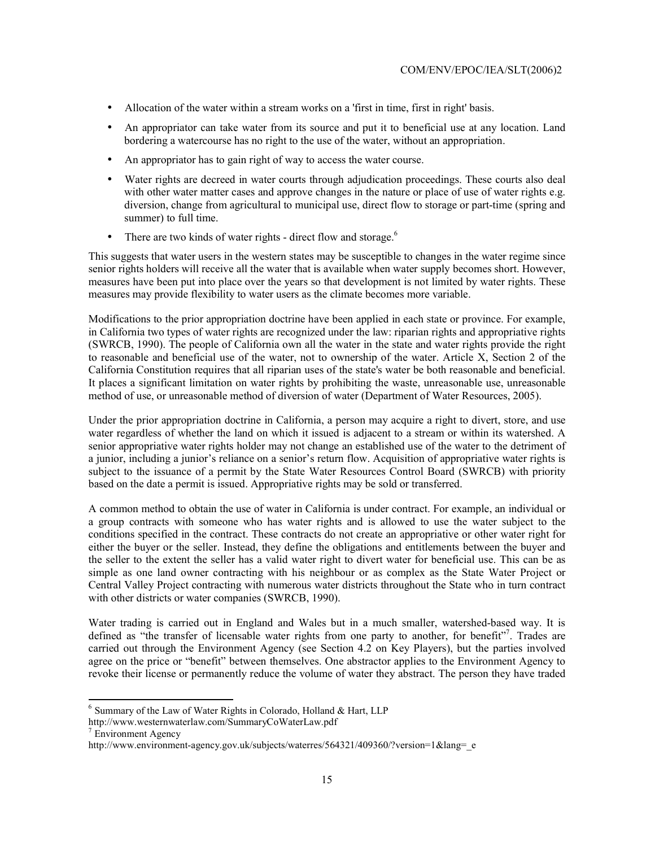- Allocation of the water within a stream works on a 'first in time, first in right' basis.
- An appropriator can take water from its source and put it to beneficial use at any location. Land bordering a watercourse has no right to the use of the water, without an appropriation.
- An appropriator has to gain right of way to access the water course.
- Water rights are decreed in water courts through adjudication proceedings. These courts also deal with other water matter cases and approve changes in the nature or place of use of water rights e.g. diversion, change from agricultural to municipal use, direct flow to storage or part-time (spring and summer) to full time.
- There are two kinds of water rights direct flow and storage.<sup>6</sup>

This suggests that water users in the western states may be susceptible to changes in the water regime since senior rights holders will receive all the water that is available when water supply becomes short. However, measures have been put into place over the years so that development is not limited by water rights. These measures may provide flexibility to water users as the climate becomes more variable.

Modifications to the prior appropriation doctrine have been applied in each state or province. For example, in California two types of water rights are recognized under the law: riparian rights and appropriative rights (SWRCB, 1990). The people of California own all the water in the state and water rights provide the right to reasonable and beneficial use of the water, not to ownership of the water. Article X, Section 2 of the California Constitution requires that all riparian uses of the state's water be both reasonable and beneficial. It places a significant limitation on water rights by prohibiting the waste, unreasonable use, unreasonable method of use, or unreasonable method of diversion of water (Department of Water Resources, 2005).

Under the prior appropriation doctrine in California, a person may acquire a right to divert, store, and use water regardless of whether the land on which it issued is adjacent to a stream or within its watershed. A senior appropriative water rights holder may not change an established use of the water to the detriment of a junior, including a junior's reliance on a senior's return flow. Acquisition of appropriative water rights is subject to the issuance of a permit by the State Water Resources Control Board (SWRCB) with priority based on the date a permit is issued. Appropriative rights may be sold or transferred.

A common method to obtain the use of water in California is under contract. For example, an individual or a group contracts with someone who has water rights and is allowed to use the water subject to the conditions specified in the contract. These contracts do not create an appropriative or other water right for either the buyer or the seller. Instead, they define the obligations and entitlements between the buyer and the seller to the extent the seller has a valid water right to divert water for beneficial use. This can be as simple as one land owner contracting with his neighbour or as complex as the State Water Project or Central Valley Project contracting with numerous water districts throughout the State who in turn contract with other districts or water companies (SWRCB, 1990).

Water trading is carried out in England and Wales but in a much smaller, watershed-based way. It is defined as "the transfer of licensable water rights from one party to another, for benefit"<sup>7</sup>. Trades are carried out through the Environment Agency (see Section 4.2 on Key Players), but the parties involved agree on the price or "benefit" between themselves. One abstractor applies to the Environment Agency to revoke their license or permanently reduce the volume of water they abstract. The person they have traded

 $\overline{a}$ 

 $6$  Summary of the Law of Water Rights in Colorado, Holland & Hart, LLP

http://www.westernwaterlaw.com/SummaryCoWaterLaw.pdf

<sup>&</sup>lt;sup>7</sup> Environment Agency

http://www.environment-agency.gov.uk/subjects/waterres/564321/409360/?version=1&lang=\_e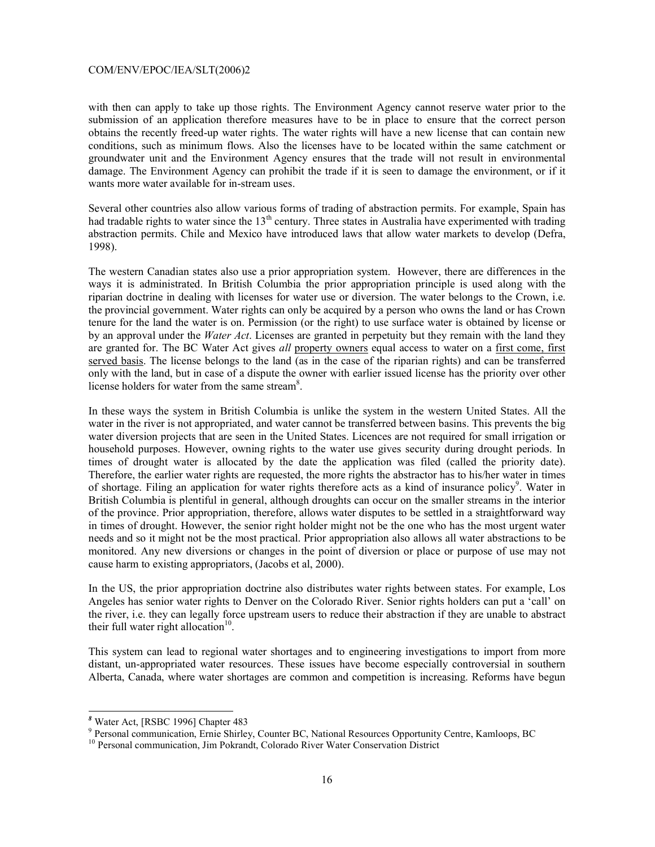with then can apply to take up those rights. The Environment Agency cannot reserve water prior to the submission of an application therefore measures have to be in place to ensure that the correct person obtains the recently freed-up water rights. The water rights will have a new license that can contain new conditions, such as minimum flows. Also the licenses have to be located within the same catchment or groundwater unit and the Environment Agency ensures that the trade will not result in environmental damage. The Environment Agency can prohibit the trade if it is seen to damage the environment, or if it wants more water available for in-stream uses.

Several other countries also allow various forms of trading of abstraction permits. For example, Spain has had tradable rights to water since the  $13<sup>th</sup>$  century. Three states in Australia have experimented with trading abstraction permits. Chile and Mexico have introduced laws that allow water markets to develop (Defra, 1998).

The western Canadian states also use a prior appropriation system. However, there are differences in the ways it is administrated. In British Columbia the prior appropriation principle is used along with the riparian doctrine in dealing with licenses for water use or diversion. The water belongs to the Crown, i.e. the provincial government. Water rights can only be acquired by a person who owns the land or has Crown tenure for the land the water is on. Permission (or the right) to use surface water is obtained by license or by an approval under the *Water Act*. Licenses are granted in perpetuity but they remain with the land they are granted for. The BC Water Act gives *all* property owners equal access to water on a first come, first served basis. The license belongs to the land (as in the case of the riparian rights) and can be transferred only with the land, but in case of a dispute the owner with earlier issued license has the priority over other license holders for water from the same stream<sup>8</sup>.

In these ways the system in British Columbia is unlike the system in the western United States. All the water in the river is not appropriated, and water cannot be transferred between basins. This prevents the big water diversion projects that are seen in the United States. Licences are not required for small irrigation or household purposes. However, owning rights to the water use gives security during drought periods. In times of drought water is allocated by the date the application was filed (called the priority date). Therefore, the earlier water rights are requested, the more rights the abstractor has to his/her water in times of shortage. Filing an application for water rights therefore acts as a kind of insurance policy<sup>9</sup>. Water in British Columbia is plentiful in general, although droughts can occur on the smaller streams in the interior of the province. Prior appropriation, therefore, allows water disputes to be settled in a straightforward way in times of drought. However, the senior right holder might not be the one who has the most urgent water needs and so it might not be the most practical. Prior appropriation also allows all water abstractions to be monitored. Any new diversions or changes in the point of diversion or place or purpose of use may not cause harm to existing appropriators, (Jacobs et al, 2000).

In the US, the prior appropriation doctrine also distributes water rights between states. For example, Los Angeles has senior water rights to Denver on the Colorado River. Senior rights holders can put a 'call' on the river, i.e. they can legally force upstream users to reduce their abstraction if they are unable to abstract their full water right allocation $10$ .

This system can lead to regional water shortages and to engineering investigations to import from more distant, un-appropriated water resources. These issues have become especially controversial in southern Alberta, Canada, where water shortages are common and competition is increasing. Reforms have begun

l

*<sup>8</sup>* Water Act, [RSBC 1996] Chapter 483

<sup>&</sup>lt;sup>9</sup> Personal communication, Ernie Shirley, Counter BC, National Resources Opportunity Centre, Kamloops, BC <sup>10</sup> Personal communication, Jim Pokrandt, Colorado River Water Conservation District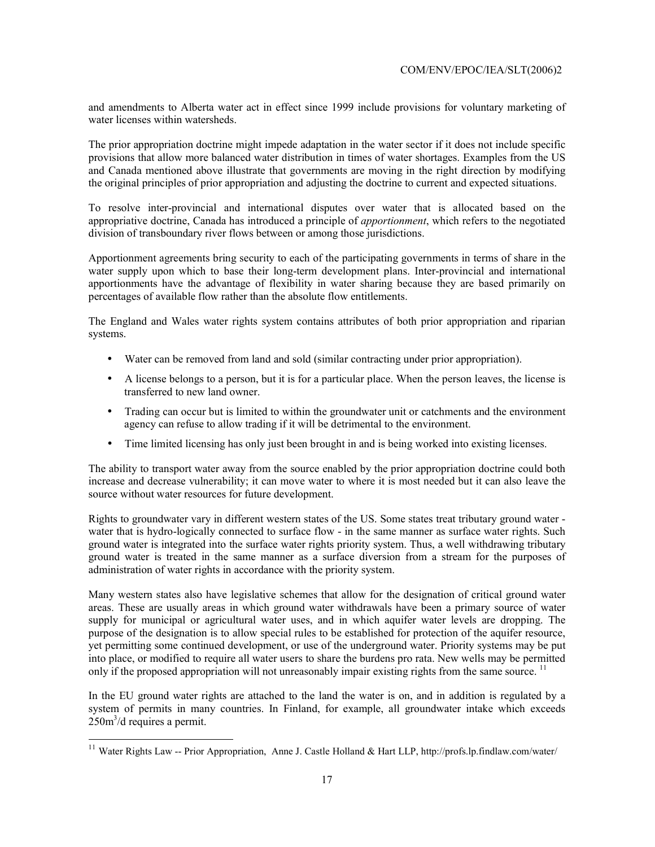and amendments to Alberta water act in effect since 1999 include provisions for voluntary marketing of water licenses within watersheds.

The prior appropriation doctrine might impede adaptation in the water sector if it does not include specific provisions that allow more balanced water distribution in times of water shortages. Examples from the US and Canada mentioned above illustrate that governments are moving in the right direction by modifying the original principles of prior appropriation and adjusting the doctrine to current and expected situations.

To resolve inter-provincial and international disputes over water that is allocated based on the appropriative doctrine, Canada has introduced a principle of *apportionment*, which refers to the negotiated division of transboundary river flows between or among those jurisdictions.

Apportionment agreements bring security to each of the participating governments in terms of share in the water supply upon which to base their long-term development plans. Inter-provincial and international apportionments have the advantage of flexibility in water sharing because they are based primarily on percentages of available flow rather than the absolute flow entitlements.

The England and Wales water rights system contains attributes of both prior appropriation and riparian systems.

- Water can be removed from land and sold (similar contracting under prior appropriation).
- A license belongs to a person, but it is for a particular place. When the person leaves, the license is transferred to new land owner.
- Trading can occur but is limited to within the groundwater unit or catchments and the environment agency can refuse to allow trading if it will be detrimental to the environment.
- Time limited licensing has only just been brought in and is being worked into existing licenses.

The ability to transport water away from the source enabled by the prior appropriation doctrine could both increase and decrease vulnerability; it can move water to where it is most needed but it can also leave the source without water resources for future development.

Rights to groundwater vary in different western states of the US. Some states treat tributary ground water water that is hydro-logically connected to surface flow - in the same manner as surface water rights. Such ground water is integrated into the surface water rights priority system. Thus, a well withdrawing tributary ground water is treated in the same manner as a surface diversion from a stream for the purposes of administration of water rights in accordance with the priority system.

Many western states also have legislative schemes that allow for the designation of critical ground water areas. These are usually areas in which ground water withdrawals have been a primary source of water supply for municipal or agricultural water uses, and in which aquifer water levels are dropping. The purpose of the designation is to allow special rules to be established for protection of the aquifer resource, yet permitting some continued development, or use of the underground water. Priority systems may be put into place, or modified to require all water users to share the burdens pro rata. New wells may be permitted only if the proposed appropriation will not unreasonably impair existing rights from the same source. <sup>11</sup>

In the EU ground water rights are attached to the land the water is on, and in addition is regulated by a system of permits in many countries. In Finland, for example, all groundwater intake which exceeds  $250m<sup>3</sup>/d$  requires a permit.

 $1\,1$ Water Rights Law -- Prior Appropriation, Anne J. Castle Holland & Hart LLP, http://profs.lp.findlaw.com/water/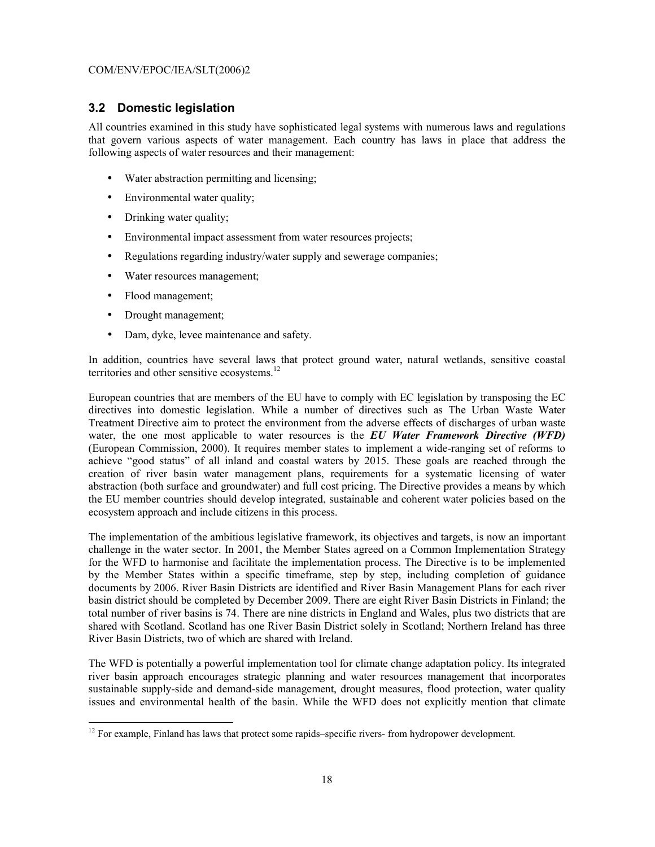#### **3.2 Domestic legislation**

All countries examined in this study have sophisticated legal systems with numerous laws and regulations that govern various aspects of water management. Each country has laws in place that address the following aspects of water resources and their management:

- Water abstraction permitting and licensing;
- Environmental water quality;
- Drinking water quality;
- Environmental impact assessment from water resources projects;
- Regulations regarding industry/water supply and sewerage companies;
- Water resources management;
- Flood management;
- Drought management;
- Dam, dyke, levee maintenance and safety.

In addition, countries have several laws that protect ground water, natural wetlands, sensitive coastal territories and other sensitive ecosystems.<sup>12</sup>

European countries that are members of the EU have to comply with EC legislation by transposing the EC directives into domestic legislation. While a number of directives such as The Urban Waste Water Treatment Directive aim to protect the environment from the adverse effects of discharges of urban waste water, the one most applicable to water resources is the *EU Water Framework Directive (WFD)* (European Commission, 2000). It requires member states to implement a wide-ranging set of reforms to achieve "good status" of all inland and coastal waters by 2015. These goals are reached through the creation of river basin water management plans, requirements for a systematic licensing of water abstraction (both surface and groundwater) and full cost pricing. The Directive provides a means by which the EU member countries should develop integrated, sustainable and coherent water policies based on the ecosystem approach and include citizens in this process.

The implementation of the ambitious legislative framework, its objectives and targets, is now an important challenge in the water sector. In 2001, the Member States agreed on a Common Implementation Strategy for the WFD to harmonise and facilitate the implementation process. The Directive is to be implemented by the Member States within a specific timeframe, step by step, including completion of guidance documents by 2006. River Basin Districts are identified and River Basin Management Plans for each river basin district should be completed by December 2009. There are eight River Basin Districts in Finland; the total number of river basins is 74. There are nine districts in England and Wales, plus two districts that are shared with Scotland. Scotland has one River Basin District solely in Scotland; Northern Ireland has three River Basin Districts, two of which are shared with Ireland.

The WFD is potentially a powerful implementation tool for climate change adaptation policy. Its integrated river basin approach encourages strategic planning and water resources management that incorporates sustainable supply-side and demand-side management, drought measures, flood protection, water quality issues and environmental health of the basin. While the WFD does not explicitly mention that climate

 $\overline{a}$  $12$  For example, Finland has laws that protect some rapids–specific rivers- from hydropower development.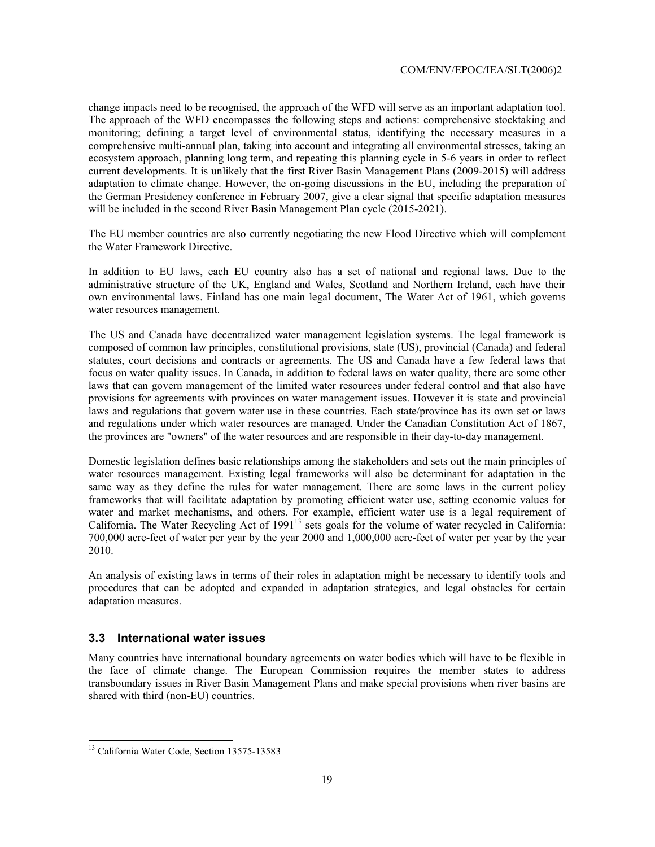change impacts need to be recognised, the approach of the WFD will serve as an important adaptation tool. The approach of the WFD encompasses the following steps and actions: comprehensive stocktaking and monitoring; defining a target level of environmental status, identifying the necessary measures in a comprehensive multi-annual plan, taking into account and integrating all environmental stresses, taking an ecosystem approach, planning long term, and repeating this planning cycle in 5-6 years in order to reflect current developments. It is unlikely that the first River Basin Management Plans (2009-2015) will address adaptation to climate change. However, the on-going discussions in the EU, including the preparation of the German Presidency conference in February 2007, give a clear signal that specific adaptation measures will be included in the second River Basin Management Plan cycle (2015-2021).

The EU member countries are also currently negotiating the new Flood Directive which will complement the Water Framework Directive.

In addition to EU laws, each EU country also has a set of national and regional laws. Due to the administrative structure of the UK, England and Wales, Scotland and Northern Ireland, each have their own environmental laws. Finland has one main legal document, The Water Act of 1961, which governs water resources management.

The US and Canada have decentralized water management legislation systems. The legal framework is composed of common law principles, constitutional provisions, state (US), provincial (Canada) and federal statutes, court decisions and contracts or agreements. The US and Canada have a few federal laws that focus on water quality issues. In Canada, in addition to federal laws on water quality, there are some other laws that can govern management of the limited water resources under federal control and that also have provisions for agreements with provinces on water management issues. However it is state and provincial laws and regulations that govern water use in these countries. Each state/province has its own set or laws and regulations under which water resources are managed. Under the Canadian Constitution Act of 1867, the provinces are "owners" of the water resources and are responsible in their day-to-day management.

Domestic legislation defines basic relationships among the stakeholders and sets out the main principles of water resources management. Existing legal frameworks will also be determinant for adaptation in the same way as they define the rules for water management. There are some laws in the current policy frameworks that will facilitate adaptation by promoting efficient water use, setting economic values for water and market mechanisms, and others. For example, efficient water use is a legal requirement of California. The Water Recycling Act of 1991<sup>13</sup> sets goals for the volume of water recycled in California: 700,000 acre-feet of water per year by the year 2000 and 1,000,000 acre-feet of water per year by the year 2010.

An analysis of existing laws in terms of their roles in adaptation might be necessary to identify tools and procedures that can be adopted and expanded in adaptation strategies, and legal obstacles for certain adaptation measures.

#### **3.3 International water issues**

Many countries have international boundary agreements on water bodies which will have to be flexible in the face of climate change. The European Commission requires the member states to address transboundary issues in River Basin Management Plans and make special provisions when river basins are shared with third (non-EU) countries.

l

<sup>&</sup>lt;sup>13</sup> California Water Code, Section 13575-13583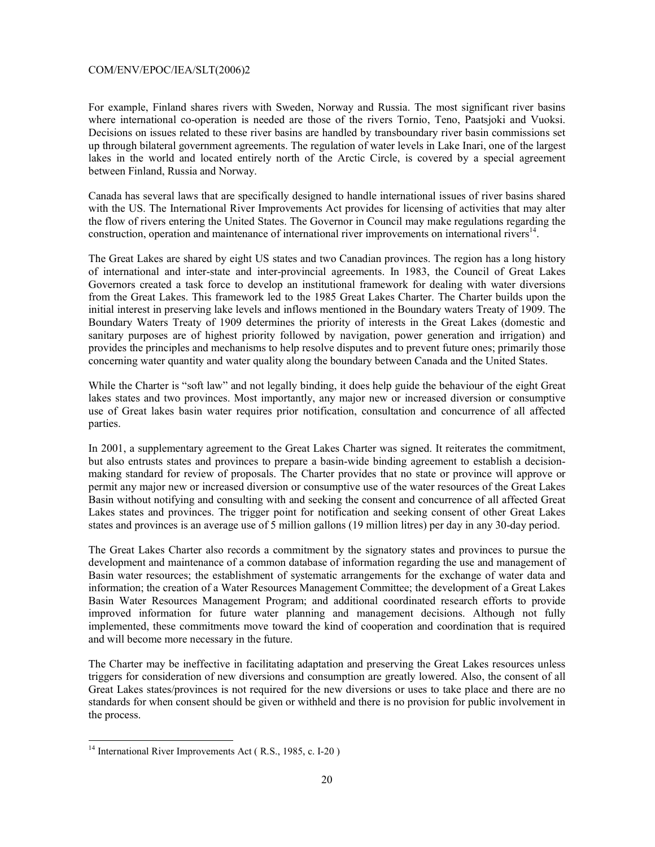For example, Finland shares rivers with Sweden, Norway and Russia. The most significant river basins where international co-operation is needed are those of the rivers Tornio, Teno, Paatsjoki and Vuoksi. Decisions on issues related to these river basins are handled by transboundary river basin commissions set up through bilateral government agreements. The regulation of water levels in Lake Inari, one of the largest lakes in the world and located entirely north of the Arctic Circle, is covered by a special agreement between Finland, Russia and Norway.

Canada has several laws that are specifically designed to handle international issues of river basins shared with the US. The International River Improvements Act provides for licensing of activities that may alter the flow of rivers entering the United States. The Governor in Council may make regulations regarding the construction, operation and maintenance of international river improvements on international rivers<sup>14</sup>.

The Great Lakes are shared by eight US states and two Canadian provinces. The region has a long history of international and inter-state and inter-provincial agreements. In 1983, the Council of Great Lakes Governors created a task force to develop an institutional framework for dealing with water diversions from the Great Lakes. This framework led to the 1985 Great Lakes Charter. The Charter builds upon the initial interest in preserving lake levels and inflows mentioned in the Boundary waters Treaty of 1909. The Boundary Waters Treaty of 1909 determines the priority of interests in the Great Lakes (domestic and sanitary purposes are of highest priority followed by navigation, power generation and irrigation) and provides the principles and mechanisms to help resolve disputes and to prevent future ones; primarily those concerning water quantity and water quality along the boundary between Canada and the United States.

While the Charter is "soft law" and not legally binding, it does help guide the behaviour of the eight Great lakes states and two provinces. Most importantly, any major new or increased diversion or consumptive use of Great lakes basin water requires prior notification, consultation and concurrence of all affected parties.

In 2001, a supplementary agreement to the Great Lakes Charter was signed. It reiterates the commitment, but also entrusts states and provinces to prepare a basin-wide binding agreement to establish a decisionmaking standard for review of proposals. The Charter provides that no state or province will approve or permit any major new or increased diversion or consumptive use of the water resources of the Great Lakes Basin without notifying and consulting with and seeking the consent and concurrence of all affected Great Lakes states and provinces. The trigger point for notification and seeking consent of other Great Lakes states and provinces is an average use of 5 million gallons (19 million litres) per day in any 30-day period.

The Great Lakes Charter also records a commitment by the signatory states and provinces to pursue the development and maintenance of a common database of information regarding the use and management of Basin water resources; the establishment of systematic arrangements for the exchange of water data and information; the creation of a Water Resources Management Committee; the development of a Great Lakes Basin Water Resources Management Program; and additional coordinated research efforts to provide improved information for future water planning and management decisions. Although not fully implemented, these commitments move toward the kind of cooperation and coordination that is required and will become more necessary in the future.

The Charter may be ineffective in facilitating adaptation and preserving the Great Lakes resources unless triggers for consideration of new diversions and consumption are greatly lowered. Also, the consent of all Great Lakes states/provinces is not required for the new diversions or uses to take place and there are no standards for when consent should be given or withheld and there is no provision for public involvement in the process.

l

<sup>&</sup>lt;sup>14</sup> International River Improvements Act (R.S., 1985, c. I-20)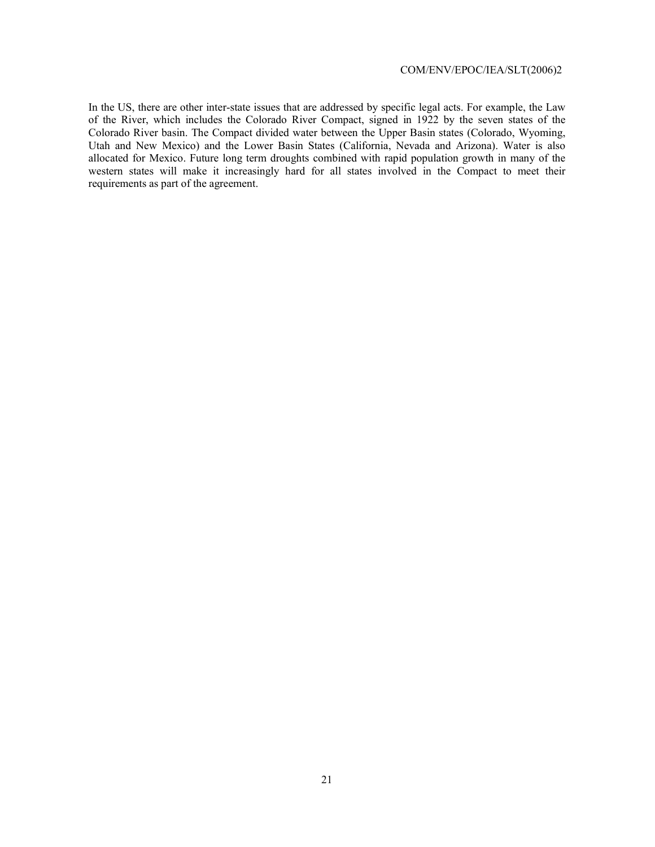In the US, there are other inter-state issues that are addressed by specific legal acts. For example, the Law of the River, which includes the Colorado River Compact, signed in 1922 by the seven states of the Colorado River basin. The Compact divided water between the Upper Basin states (Colorado, Wyoming, Utah and New Mexico) and the Lower Basin States (California, Nevada and Arizona). Water is also allocated for Mexico. Future long term droughts combined with rapid population growth in many of the western states will make it increasingly hard for all states involved in the Compact to meet their requirements as part of the agreement.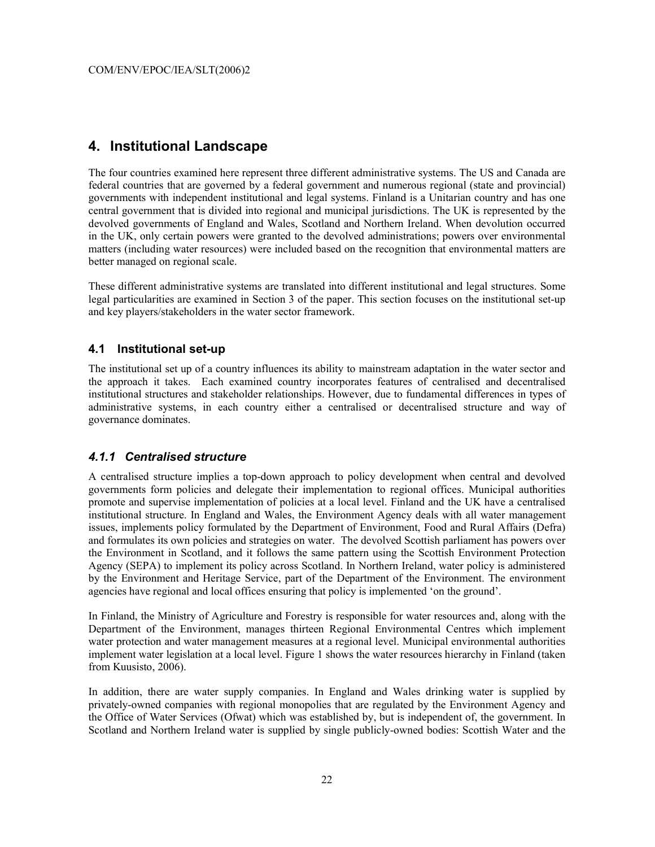### **4. Institutional Landscape**

The four countries examined here represent three different administrative systems. The US and Canada are federal countries that are governed by a federal government and numerous regional (state and provincial) governments with independent institutional and legal systems. Finland is a Unitarian country and has one central government that is divided into regional and municipal jurisdictions. The UK is represented by the devolved governments of England and Wales, Scotland and Northern Ireland. When devolution occurred in the UK, only certain powers were granted to the devolved administrations; powers over environmental matters (including water resources) were included based on the recognition that environmental matters are better managed on regional scale.

These different administrative systems are translated into different institutional and legal structures. Some legal particularities are examined in Section 3 of the paper. This section focuses on the institutional set-up and key players/stakeholders in the water sector framework.

#### **4.1 Institutional set-up**

The institutional set up of a country influences its ability to mainstream adaptation in the water sector and the approach it takes. Each examined country incorporates features of centralised and decentralised institutional structures and stakeholder relationships. However, due to fundamental differences in types of administrative systems, in each country either a centralised or decentralised structure and way of governance dominates.

#### *4.1.1 Centralised structure*

A centralised structure implies a top-down approach to policy development when central and devolved governments form policies and delegate their implementation to regional offices. Municipal authorities promote and supervise implementation of policies at a local level. Finland and the UK have a centralised institutional structure. In England and Wales, the Environment Agency deals with all water management issues, implements policy formulated by the Department of Environment, Food and Rural Affairs (Defra) and formulates its own policies and strategies on water. The devolved Scottish parliament has powers over the Environment in Scotland, and it follows the same pattern using the Scottish Environment Protection Agency (SEPA) to implement its policy across Scotland. In Northern Ireland, water policy is administered by the Environment and Heritage Service, part of the Department of the Environment. The environment agencies have regional and local offices ensuring that policy is implemented 'on the ground'.

In Finland, the Ministry of Agriculture and Forestry is responsible for water resources and, along with the Department of the Environment, manages thirteen Regional Environmental Centres which implement water protection and water management measures at a regional level. Municipal environmental authorities implement water legislation at a local level. Figure 1 shows the water resources hierarchy in Finland (taken from Kuusisto, 2006).

In addition, there are water supply companies. In England and Wales drinking water is supplied by privately-owned companies with regional monopolies that are regulated by the Environment Agency and the Office of Water Services (Ofwat) which was established by, but is independent of, the government. In Scotland and Northern Ireland water is supplied by single publicly-owned bodies: Scottish Water and the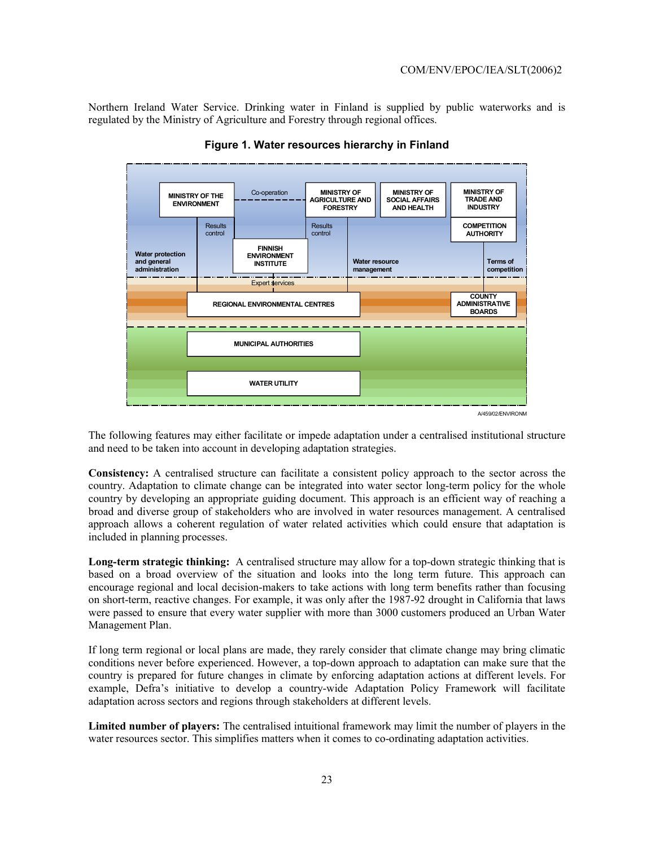Northern Ireland Water Service. Drinking water in Finland is supplied by public waterworks and is regulated by the Ministry of Agriculture and Forestry through regional offices.



**Figure 1. Water resources hierarchy in Finland** 

The following features may either facilitate or impede adaptation under a centralised institutional structure and need to be taken into account in developing adaptation strategies.

**Consistency:** A centralised structure can facilitate a consistent policy approach to the sector across the country. Adaptation to climate change can be integrated into water sector long-term policy for the whole country by developing an appropriate guiding document. This approach is an efficient way of reaching a broad and diverse group of stakeholders who are involved in water resources management. A centralised approach allows a coherent regulation of water related activities which could ensure that adaptation is included in planning processes.

**Long-term strategic thinking:** A centralised structure may allow for a top-down strategic thinking that is based on a broad overview of the situation and looks into the long term future. This approach can encourage regional and local decision-makers to take actions with long term benefits rather than focusing on short-term, reactive changes. For example, it was only after the 1987-92 drought in California that laws were passed to ensure that every water supplier with more than 3000 customers produced an Urban Water Management Plan.

If long term regional or local plans are made, they rarely consider that climate change may bring climatic conditions never before experienced. However, a top-down approach to adaptation can make sure that the country is prepared for future changes in climate by enforcing adaptation actions at different levels. For example, Defra's initiative to develop a country-wide Adaptation Policy Framework will facilitate adaptation across sectors and regions through stakeholders at different levels.

**Limited number of players:** The centralised intuitional framework may limit the number of players in the water resources sector. This simplifies matters when it comes to co-ordinating adaptation activities.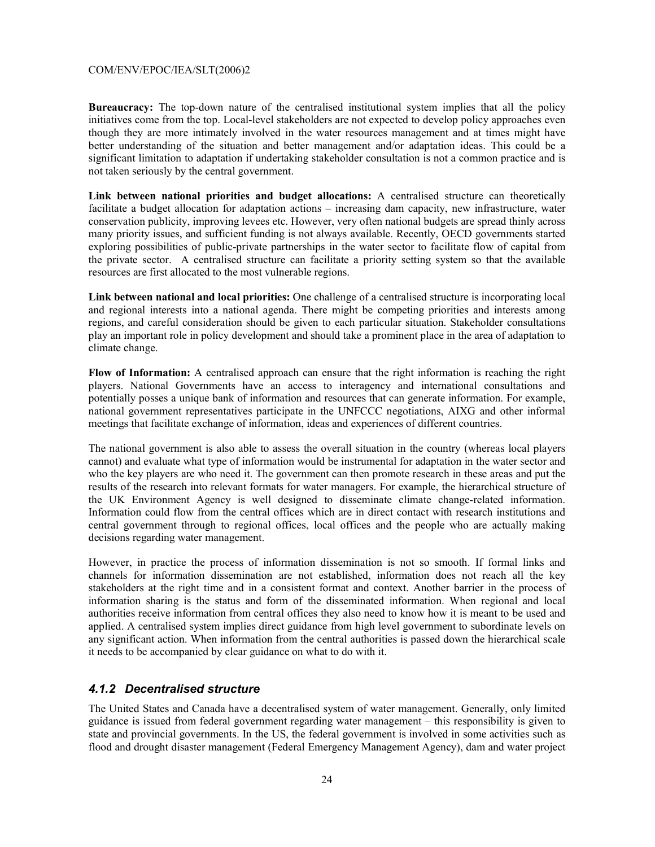**Bureaucracy:** The top-down nature of the centralised institutional system implies that all the policy initiatives come from the top. Local-level stakeholders are not expected to develop policy approaches even though they are more intimately involved in the water resources management and at times might have better understanding of the situation and better management and/or adaptation ideas. This could be a significant limitation to adaptation if undertaking stakeholder consultation is not a common practice and is not taken seriously by the central government.

**Link between national priorities and budget allocations:** A centralised structure can theoretically facilitate a budget allocation for adaptation actions – increasing dam capacity, new infrastructure, water conservation publicity, improving levees etc. However, very often national budgets are spread thinly across many priority issues, and sufficient funding is not always available. Recently, OECD governments started exploring possibilities of public-private partnerships in the water sector to facilitate flow of capital from the private sector. A centralised structure can facilitate a priority setting system so that the available resources are first allocated to the most vulnerable regions.

**Link between national and local priorities:** One challenge of a centralised structure is incorporating local and regional interests into a national agenda. There might be competing priorities and interests among regions, and careful consideration should be given to each particular situation. Stakeholder consultations play an important role in policy development and should take a prominent place in the area of adaptation to climate change.

**Flow of Information:** A centralised approach can ensure that the right information is reaching the right players. National Governments have an access to interagency and international consultations and potentially posses a unique bank of information and resources that can generate information. For example, national government representatives participate in the UNFCCC negotiations, AIXG and other informal meetings that facilitate exchange of information, ideas and experiences of different countries.

The national government is also able to assess the overall situation in the country (whereas local players cannot) and evaluate what type of information would be instrumental for adaptation in the water sector and who the key players are who need it. The government can then promote research in these areas and put the results of the research into relevant formats for water managers. For example, the hierarchical structure of the UK Environment Agency is well designed to disseminate climate change-related information. Information could flow from the central offices which are in direct contact with research institutions and central government through to regional offices, local offices and the people who are actually making decisions regarding water management.

However, in practice the process of information dissemination is not so smooth. If formal links and channels for information dissemination are not established, information does not reach all the key stakeholders at the right time and in a consistent format and context. Another barrier in the process of information sharing is the status and form of the disseminated information. When regional and local authorities receive information from central offices they also need to know how it is meant to be used and applied. A centralised system implies direct guidance from high level government to subordinate levels on any significant action. When information from the central authorities is passed down the hierarchical scale it needs to be accompanied by clear guidance on what to do with it.

#### *4.1.2 Decentralised structure*

The United States and Canada have a decentralised system of water management. Generally, only limited guidance is issued from federal government regarding water management – this responsibility is given to state and provincial governments. In the US, the federal government is involved in some activities such as flood and drought disaster management (Federal Emergency Management Agency), dam and water project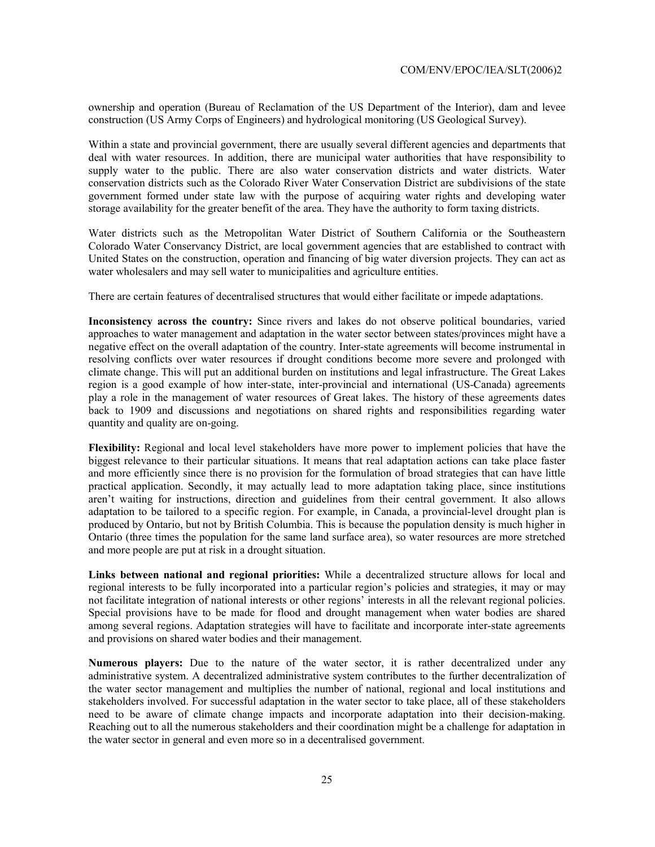ownership and operation (Bureau of Reclamation of the US Department of the Interior), dam and levee construction (US Army Corps of Engineers) and hydrological monitoring (US Geological Survey).

Within a state and provincial government, there are usually several different agencies and departments that deal with water resources. In addition, there are municipal water authorities that have responsibility to supply water to the public. There are also water conservation districts and water districts. Water conservation districts such as the Colorado River Water Conservation District are subdivisions of the state government formed under state law with the purpose of acquiring water rights and developing water storage availability for the greater benefit of the area. They have the authority to form taxing districts.

Water districts such as the Metropolitan Water District of Southern California or the Southeastern Colorado Water Conservancy District, are local government agencies that are established to contract with United States on the construction, operation and financing of big water diversion projects. They can act as water wholesalers and may sell water to municipalities and agriculture entities.

There are certain features of decentralised structures that would either facilitate or impede adaptations.

**Inconsistency across the country:** Since rivers and lakes do not observe political boundaries, varied approaches to water management and adaptation in the water sector between states/provinces might have a negative effect on the overall adaptation of the country. Inter-state agreements will become instrumental in resolving conflicts over water resources if drought conditions become more severe and prolonged with climate change. This will put an additional burden on institutions and legal infrastructure. The Great Lakes region is a good example of how inter-state, inter-provincial and international (US-Canada) agreements play a role in the management of water resources of Great lakes. The history of these agreements dates back to 1909 and discussions and negotiations on shared rights and responsibilities regarding water quantity and quality are on-going.

**Flexibility:** Regional and local level stakeholders have more power to implement policies that have the biggest relevance to their particular situations. It means that real adaptation actions can take place faster and more efficiently since there is no provision for the formulation of broad strategies that can have little practical application. Secondly, it may actually lead to more adaptation taking place, since institutions aren't waiting for instructions, direction and guidelines from their central government. It also allows adaptation to be tailored to a specific region. For example, in Canada, a provincial-level drought plan is produced by Ontario, but not by British Columbia. This is because the population density is much higher in Ontario (three times the population for the same land surface area), so water resources are more stretched and more people are put at risk in a drought situation.

**Links between national and regional priorities:** While a decentralized structure allows for local and regional interests to be fully incorporated into a particular region's policies and strategies, it may or may not facilitate integration of national interests or other regions' interests in all the relevant regional policies. Special provisions have to be made for flood and drought management when water bodies are shared among several regions. Adaptation strategies will have to facilitate and incorporate inter-state agreements and provisions on shared water bodies and their management.

**Numerous players:** Due to the nature of the water sector, it is rather decentralized under any administrative system. A decentralized administrative system contributes to the further decentralization of the water sector management and multiplies the number of national, regional and local institutions and stakeholders involved. For successful adaptation in the water sector to take place, all of these stakeholders need to be aware of climate change impacts and incorporate adaptation into their decision-making. Reaching out to all the numerous stakeholders and their coordination might be a challenge for adaptation in the water sector in general and even more so in a decentralised government.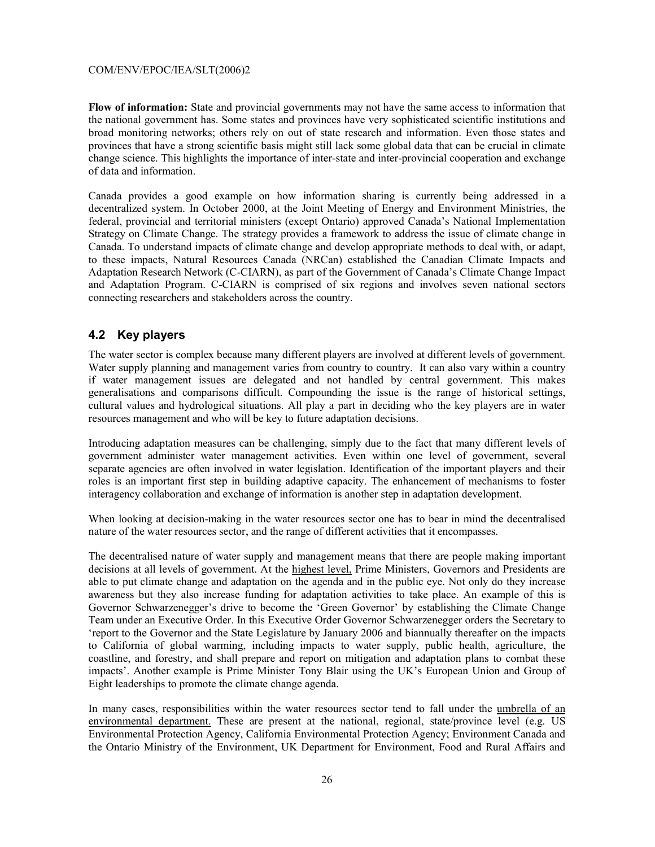**Flow of information:** State and provincial governments may not have the same access to information that the national government has. Some states and provinces have very sophisticated scientific institutions and broad monitoring networks; others rely on out of state research and information. Even those states and provinces that have a strong scientific basis might still lack some global data that can be crucial in climate change science. This highlights the importance of inter-state and inter-provincial cooperation and exchange of data and information.

Canada provides a good example on how information sharing is currently being addressed in a decentralized system. In October 2000, at the Joint Meeting of Energy and Environment Ministries, the federal, provincial and territorial ministers (except Ontario) approved Canada's National Implementation Strategy on Climate Change. The strategy provides a framework to address the issue of climate change in Canada. To understand impacts of climate change and develop appropriate methods to deal with, or adapt, to these impacts, Natural Resources Canada (NRCan) established the Canadian Climate Impacts and Adaptation Research Network (C-CIARN), as part of the Government of Canada's Climate Change Impact and Adaptation Program. C-CIARN is comprised of six regions and involves seven national sectors connecting researchers and stakeholders across the country.

#### **4.2 Key players**

The water sector is complex because many different players are involved at different levels of government. Water supply planning and management varies from country to country. It can also vary within a country if water management issues are delegated and not handled by central government. This makes generalisations and comparisons difficult. Compounding the issue is the range of historical settings, cultural values and hydrological situations. All play a part in deciding who the key players are in water resources management and who will be key to future adaptation decisions.

Introducing adaptation measures can be challenging, simply due to the fact that many different levels of government administer water management activities. Even within one level of government, several separate agencies are often involved in water legislation. Identification of the important players and their roles is an important first step in building adaptive capacity. The enhancement of mechanisms to foster interagency collaboration and exchange of information is another step in adaptation development.

When looking at decision-making in the water resources sector one has to bear in mind the decentralised nature of the water resources sector, and the range of different activities that it encompasses.

The decentralised nature of water supply and management means that there are people making important decisions at all levels of government. At the highest level, Prime Ministers, Governors and Presidents are able to put climate change and adaptation on the agenda and in the public eye. Not only do they increase awareness but they also increase funding for adaptation activities to take place. An example of this is Governor Schwarzenegger's drive to become the 'Green Governor' by establishing the Climate Change Team under an Executive Order. In this Executive Order Governor Schwarzenegger orders the Secretary to 'report to the Governor and the State Legislature by January 2006 and biannually thereafter on the impacts to California of global warming, including impacts to water supply, public health, agriculture, the coastline, and forestry, and shall prepare and report on mitigation and adaptation plans to combat these impacts'. Another example is Prime Minister Tony Blair using the UK's European Union and Group of Eight leaderships to promote the climate change agenda.

In many cases, responsibilities within the water resources sector tend to fall under the umbrella of an environmental department. These are present at the national, regional, state/province level (e.g. US Environmental Protection Agency, California Environmental Protection Agency; Environment Canada and the Ontario Ministry of the Environment, UK Department for Environment, Food and Rural Affairs and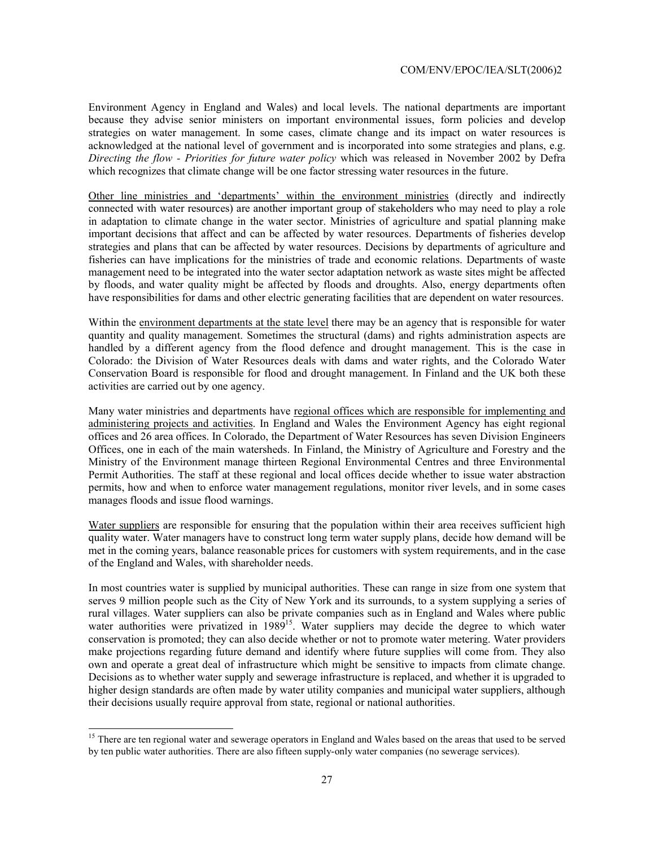Environment Agency in England and Wales) and local levels. The national departments are important because they advise senior ministers on important environmental issues, form policies and develop strategies on water management. In some cases, climate change and its impact on water resources is acknowledged at the national level of government and is incorporated into some strategies and plans, e.g. *Directing the flow - Priorities for future water policy* which was released in November 2002 by Defra which recognizes that climate change will be one factor stressing water resources in the future.

Other line ministries and 'departments' within the environment ministries (directly and indirectly connected with water resources) are another important group of stakeholders who may need to play a role in adaptation to climate change in the water sector. Ministries of agriculture and spatial planning make important decisions that affect and can be affected by water resources. Departments of fisheries develop strategies and plans that can be affected by water resources. Decisions by departments of agriculture and fisheries can have implications for the ministries of trade and economic relations. Departments of waste management need to be integrated into the water sector adaptation network as waste sites might be affected by floods, and water quality might be affected by floods and droughts. Also, energy departments often have responsibilities for dams and other electric generating facilities that are dependent on water resources.

Within the environment departments at the state level there may be an agency that is responsible for water quantity and quality management. Sometimes the structural (dams) and rights administration aspects are handled by a different agency from the flood defence and drought management. This is the case in Colorado: the Division of Water Resources deals with dams and water rights, and the Colorado Water Conservation Board is responsible for flood and drought management. In Finland and the UK both these activities are carried out by one agency.

Many water ministries and departments have regional offices which are responsible for implementing and administering projects and activities. In England and Wales the Environment Agency has eight regional offices and 26 area offices. In Colorado, the Department of Water Resources has seven Division Engineers Offices, one in each of the main watersheds. In Finland, the Ministry of Agriculture and Forestry and the Ministry of the Environment manage thirteen Regional Environmental Centres and three Environmental Permit Authorities. The staff at these regional and local offices decide whether to issue water abstraction permits, how and when to enforce water management regulations, monitor river levels, and in some cases manages floods and issue flood warnings.

Water suppliers are responsible for ensuring that the population within their area receives sufficient high quality water. Water managers have to construct long term water supply plans, decide how demand will be met in the coming years, balance reasonable prices for customers with system requirements, and in the case of the England and Wales, with shareholder needs.

In most countries water is supplied by municipal authorities. These can range in size from one system that serves 9 million people such as the City of New York and its surrounds, to a system supplying a series of rural villages. Water suppliers can also be private companies such as in England and Wales where public water authorities were privatized in 1989<sup>15</sup>. Water suppliers may decide the degree to which water conservation is promoted; they can also decide whether or not to promote water metering. Water providers make projections regarding future demand and identify where future supplies will come from. They also own and operate a great deal of infrastructure which might be sensitive to impacts from climate change. Decisions as to whether water supply and sewerage infrastructure is replaced, and whether it is upgraded to higher design standards are often made by water utility companies and municipal water suppliers, although their decisions usually require approval from state, regional or national authorities.

l

<sup>&</sup>lt;sup>15</sup> There are ten regional water and sewerage operators in England and Wales based on the areas that used to be served by ten public water authorities. There are also fifteen supply-only water companies (no sewerage services).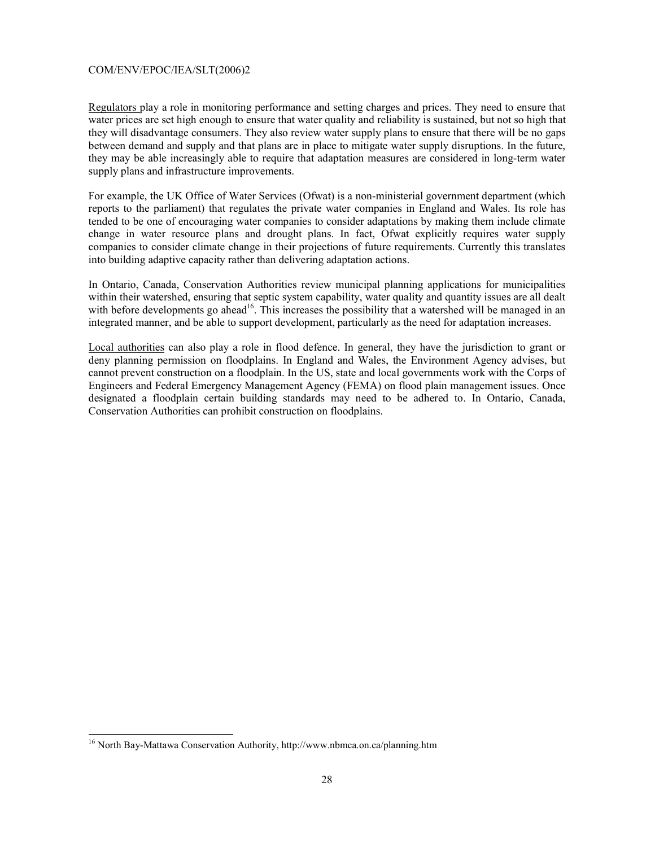Regulators play a role in monitoring performance and setting charges and prices. They need to ensure that water prices are set high enough to ensure that water quality and reliability is sustained, but not so high that they will disadvantage consumers. They also review water supply plans to ensure that there will be no gaps between demand and supply and that plans are in place to mitigate water supply disruptions. In the future, they may be able increasingly able to require that adaptation measures are considered in long-term water supply plans and infrastructure improvements.

For example, the UK Office of Water Services (Ofwat) is a non-ministerial government department (which reports to the parliament) that regulates the private water companies in England and Wales. Its role has tended to be one of encouraging water companies to consider adaptations by making them include climate change in water resource plans and drought plans. In fact, Ofwat explicitly requires water supply companies to consider climate change in their projections of future requirements. Currently this translates into building adaptive capacity rather than delivering adaptation actions.

In Ontario, Canada, Conservation Authorities review municipal planning applications for municipalities within their watershed, ensuring that septic system capability, water quality and quantity issues are all dealt with before developments go ahead<sup>16</sup>. This increases the possibility that a watershed will be managed in an integrated manner, and be able to support development, particularly as the need for adaptation increases.

Local authorities can also play a role in flood defence. In general, they have the jurisdiction to grant or deny planning permission on floodplains. In England and Wales, the Environment Agency advises, but cannot prevent construction on a floodplain. In the US, state and local governments work with the Corps of Engineers and Federal Emergency Management Agency (FEMA) on flood plain management issues. Once designated a floodplain certain building standards may need to be adhered to. In Ontario, Canada, Conservation Authorities can prohibit construction on floodplains.

l

<sup>&</sup>lt;sup>16</sup> North Bay-Mattawa Conservation Authority, http://www.nbmca.on.ca/planning.htm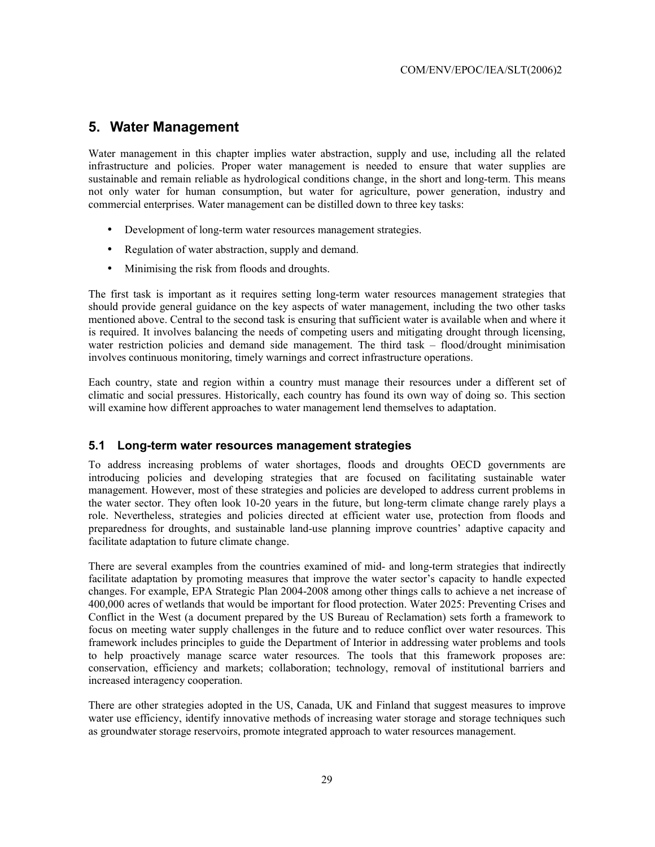#### **5. Water Management**

Water management in this chapter implies water abstraction, supply and use, including all the related infrastructure and policies. Proper water management is needed to ensure that water supplies are sustainable and remain reliable as hydrological conditions change, in the short and long-term. This means not only water for human consumption, but water for agriculture, power generation, industry and commercial enterprises. Water management can be distilled down to three key tasks:

- Development of long-term water resources management strategies.
- Regulation of water abstraction, supply and demand.
- Minimising the risk from floods and droughts.

The first task is important as it requires setting long-term water resources management strategies that should provide general guidance on the key aspects of water management, including the two other tasks mentioned above. Central to the second task is ensuring that sufficient water is available when and where it is required. It involves balancing the needs of competing users and mitigating drought through licensing, water restriction policies and demand side management. The third task – flood/drought minimisation involves continuous monitoring, timely warnings and correct infrastructure operations.

Each country, state and region within a country must manage their resources under a different set of climatic and social pressures. Historically, each country has found its own way of doing so. This section will examine how different approaches to water management lend themselves to adaptation.

#### **5.1 Long-term water resources management strategies**

To address increasing problems of water shortages, floods and droughts OECD governments are introducing policies and developing strategies that are focused on facilitating sustainable water management. However, most of these strategies and policies are developed to address current problems in the water sector. They often look 10-20 years in the future, but long-term climate change rarely plays a role. Nevertheless, strategies and policies directed at efficient water use, protection from floods and preparedness for droughts, and sustainable land-use planning improve countries' adaptive capacity and facilitate adaptation to future climate change.

There are several examples from the countries examined of mid- and long-term strategies that indirectly facilitate adaptation by promoting measures that improve the water sector's capacity to handle expected changes. For example, EPA Strategic Plan 2004-2008 among other things calls to achieve a net increase of 400,000 acres of wetlands that would be important for flood protection. Water 2025: Preventing Crises and Conflict in the West (a document prepared by the US Bureau of Reclamation) sets forth a framework to focus on meeting water supply challenges in the future and to reduce conflict over water resources. This framework includes principles to guide the Department of Interior in addressing water problems and tools to help proactively manage scarce water resources. The tools that this framework proposes are: conservation, efficiency and markets; collaboration; technology, removal of institutional barriers and increased interagency cooperation.

There are other strategies adopted in the US, Canada, UK and Finland that suggest measures to improve water use efficiency, identify innovative methods of increasing water storage and storage techniques such as groundwater storage reservoirs, promote integrated approach to water resources management.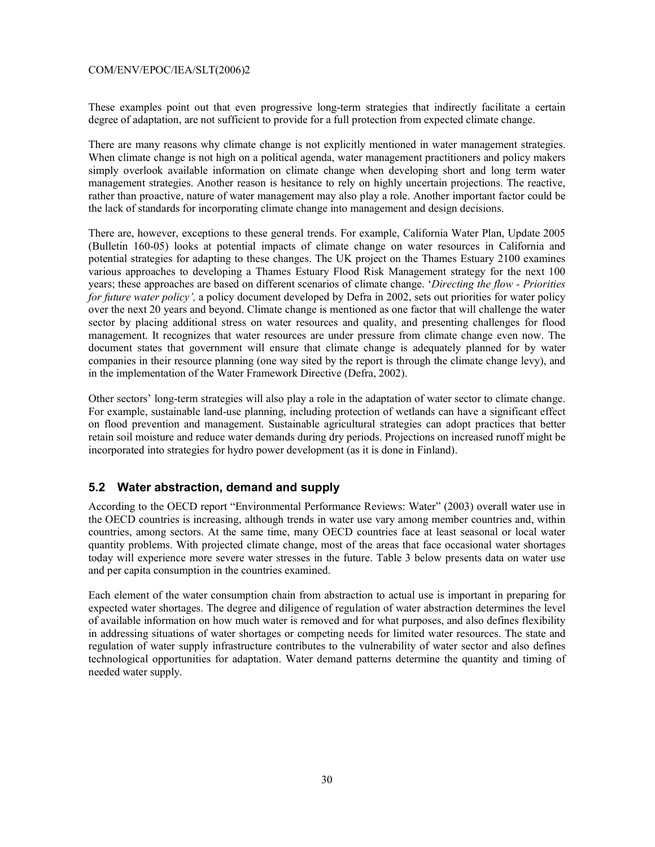These examples point out that even progressive long-term strategies that indirectly facilitate a certain degree of adaptation, are not sufficient to provide for a full protection from expected climate change.

There are many reasons why climate change is not explicitly mentioned in water management strategies. When climate change is not high on a political agenda, water management practitioners and policy makers simply overlook available information on climate change when developing short and long term water management strategies. Another reason is hesitance to rely on highly uncertain projections. The reactive, rather than proactive, nature of water management may also play a role. Another important factor could be the lack of standards for incorporating climate change into management and design decisions.

There are, however, exceptions to these general trends. For example, California Water Plan, Update 2005 (Bulletin 160-05) looks at potential impacts of climate change on water resources in California and potential strategies for adapting to these changes. The UK project on the Thames Estuary 2100 examines various approaches to developing a Thames Estuary Flood Risk Management strategy for the next 100 years; these approaches are based on different scenarios of climate change. '*Directing the flow - Priorities for future water policy',* a policy document developed by Defra in 2002, sets out priorities for water policy over the next 20 years and beyond. Climate change is mentioned as one factor that will challenge the water sector by placing additional stress on water resources and quality, and presenting challenges for flood management. It recognizes that water resources are under pressure from climate change even now. The document states that government will ensure that climate change is adequately planned for by water companies in their resource planning (one way sited by the report is through the climate change levy), and in the implementation of the Water Framework Directive (Defra, 2002).

Other sectors' long-term strategies will also play a role in the adaptation of water sector to climate change. For example, sustainable land-use planning, including protection of wetlands can have a significant effect on flood prevention and management. Sustainable agricultural strategies can adopt practices that better retain soil moisture and reduce water demands during dry periods. Projections on increased runoff might be incorporated into strategies for hydro power development (as it is done in Finland).

#### **5.2 Water abstraction, demand and supply**

According to the OECD report "Environmental Performance Reviews: Water" (2003) overall water use in the OECD countries is increasing, although trends in water use vary among member countries and, within countries, among sectors. At the same time, many OECD countries face at least seasonal or local water quantity problems. With projected climate change, most of the areas that face occasional water shortages today will experience more severe water stresses in the future. Table 3 below presents data on water use and per capita consumption in the countries examined.

Each element of the water consumption chain from abstraction to actual use is important in preparing for expected water shortages. The degree and diligence of regulation of water abstraction determines the level of available information on how much water is removed and for what purposes, and also defines flexibility in addressing situations of water shortages or competing needs for limited water resources. The state and regulation of water supply infrastructure contributes to the vulnerability of water sector and also defines technological opportunities for adaptation. Water demand patterns determine the quantity and timing of needed water supply.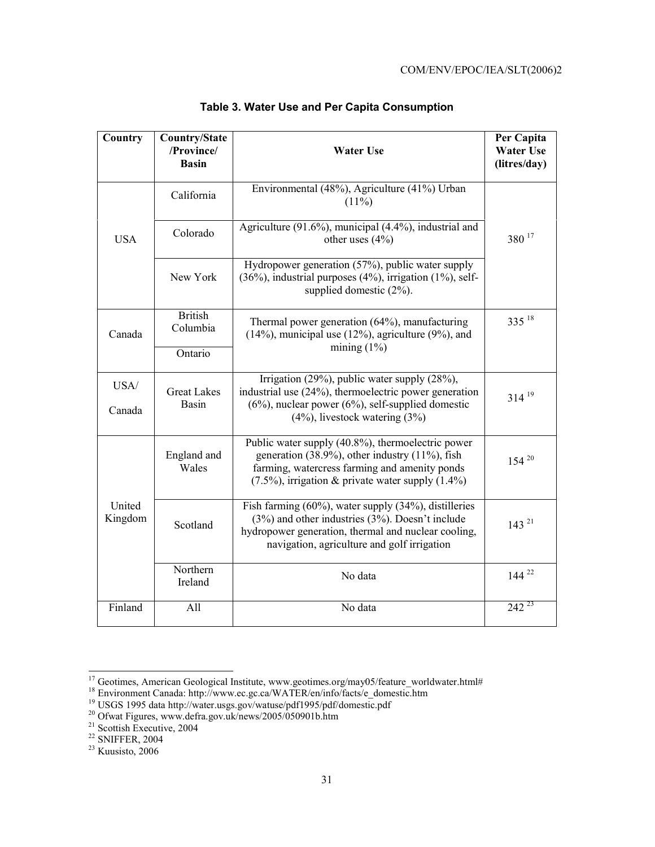| Country           | <b>Country/State</b><br>/Province/<br><b>Basin</b> | <b>Water Use</b>                                                                                                                                                                                                           | Per Capita<br><b>Water Use</b><br>(litres/day) |
|-------------------|----------------------------------------------------|----------------------------------------------------------------------------------------------------------------------------------------------------------------------------------------------------------------------------|------------------------------------------------|
|                   | California                                         | Environmental (48%), Agriculture (41%) Urban<br>$(11\%)$                                                                                                                                                                   |                                                |
| <b>USA</b>        | Colorado                                           | Agriculture (91.6%), municipal (4.4%), industrial and<br>other uses $(4%)$                                                                                                                                                 | 380 17                                         |
|                   | New York                                           | Hydropower generation (57%), public water supply<br>$(36\%)$ , industrial purposes $(4\%)$ , irrigation $(1\%)$ , self-<br>supplied domestic $(2\%)$ .                                                                     |                                                |
| Canada            | <b>British</b><br>Columbia                         | Thermal power generation (64%), manufacturing<br>$(14\%)$ , municipal use $(12\%)$ , agriculture $(9\%)$ , and<br>mining $(1\%)$                                                                                           | $335^{18}$                                     |
|                   | Ontario                                            |                                                                                                                                                                                                                            |                                                |
| USA/<br>Canada    | <b>Great Lakes</b><br><b>Basin</b>                 | Irrigation (29%), public water supply (28%),<br>industrial use (24%), thermoelectric power generation<br>$(6\%)$ , nuclear power $(6\%)$ , self-supplied domestic<br>$(4\%)$ , livestock watering $(3\%)$                  | $314^{19}$                                     |
|                   | England and<br>Wales                               | Public water supply (40.8%), thermoelectric power<br>generation (38.9%), other industry (11%), fish<br>farming, watercress farming and amenity ponds<br>$(7.5\%)$ , irrigation & private water supply $(1.4\%)$            | $154^{20}$                                     |
| United<br>Kingdom | Scotland                                           | Fish farming $(60\%)$ , water supply $(34\%)$ , distilleries<br>$(3%)$ and other industries $(3%)$ . Doesn't include<br>hydropower generation, thermal and nuclear cooling,<br>navigation, agriculture and golf irrigation | $143^{21}$                                     |
|                   | Northern<br>Ireland                                | No data                                                                                                                                                                                                                    | $144^{22}$<br>$242^{23}$                       |
| Finland           | All<br>No data                                     |                                                                                                                                                                                                                            |                                                |

### **Table 3. Water Use and Per Capita Consumption**

21 Scottish Executive, 2004

 $22$  SNIFFER, 2004

l

 $23$  Kuusisto, 2006

<sup>&</sup>lt;sup>17</sup> Geotimes, American Geological Institute, www.geotimes.org/may05/feature\_worldwater.html#

<sup>&</sup>lt;sup>18</sup> Environment Canada: http://www.ec.gc.ca/WATER/en/info/facts/e\_domestic.htm

<sup>&</sup>lt;sup>19</sup> USGS 1995 data http://water.usgs.gov/watuse/pdf1995/pdf/domestic.pdf

<sup>&</sup>lt;sup>20</sup> Ofwat Figures, www.defra.gov.uk/news/2005/050901b.htm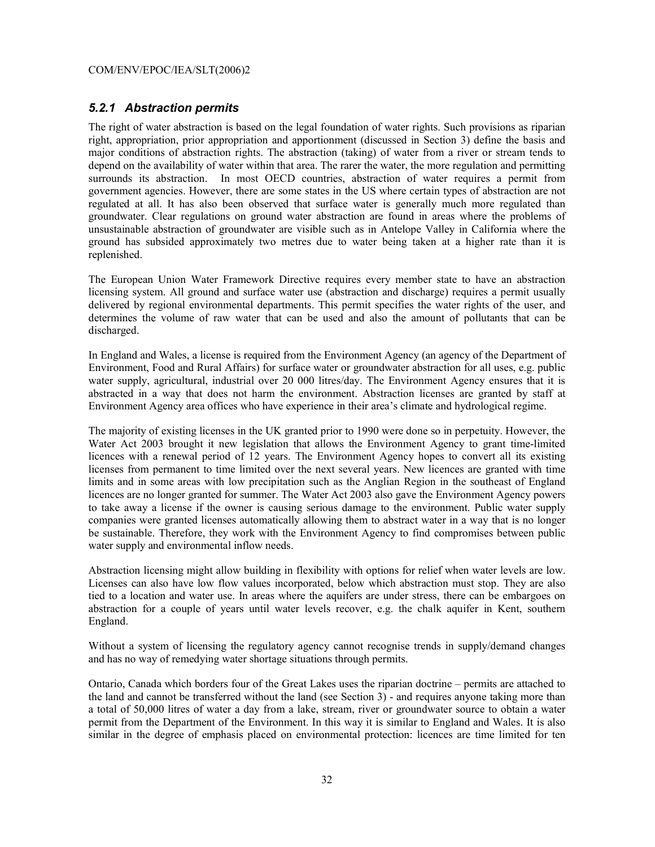#### *5.2.1 Abstraction permits*

The right of water abstraction is based on the legal foundation of water rights. Such provisions as riparian right, appropriation, prior appropriation and apportionment (discussed in Section 3) define the basis and major conditions of abstraction rights. The abstraction (taking) of water from a river or stream tends to depend on the availability of water within that area. The rarer the water, the more regulation and permitting surrounds its abstraction. In most OECD countries, abstraction of water requires a permit from government agencies. However, there are some states in the US where certain types of abstraction are not regulated at all. It has also been observed that surface water is generally much more regulated than groundwater. Clear regulations on ground water abstraction are found in areas where the problems of unsustainable abstraction of groundwater are visible such as in Antelope Valley in California where the ground has subsided approximately two metres due to water being taken at a higher rate than it is replenished.

The European Union Water Framework Directive requires every member state to have an abstraction licensing system. All ground and surface water use (abstraction and discharge) requires a permit usually delivered by regional environmental departments. This permit specifies the water rights of the user, and determines the volume of raw water that can be used and also the amount of pollutants that can be discharged.

In England and Wales, a license is required from the Environment Agency (an agency of the Department of Environment, Food and Rural Affairs) for surface water or groundwater abstraction for all uses, e.g. public water supply, agricultural, industrial over 20 000 litres/day. The Environment Agency ensures that it is abstracted in a way that does not harm the environment. Abstraction licenses are granted by staff at Environment Agency area offices who have experience in their area's climate and hydrological regime.

The majority of existing licenses in the UK granted prior to 1990 were done so in perpetuity. However, the Water Act 2003 brought it new legislation that allows the Environment Agency to grant time-limited licences with a renewal period of 12 years. The Environment Agency hopes to convert all its existing licenses from permanent to time limited over the next several years. New licences are granted with time limits and in some areas with low precipitation such as the Anglian Region in the southeast of England licences are no longer granted for summer. The Water Act 2003 also gave the Environment Agency powers to take away a license if the owner is causing serious damage to the environment. Public water supply companies were granted licenses automatically allowing them to abstract water in a way that is no longer be sustainable. Therefore, they work with the Environment Agency to find compromises between public water supply and environmental inflow needs.

Abstraction licensing might allow building in flexibility with options for relief when water levels are low. Licenses can also have low flow values incorporated, below which abstraction must stop. They are also tied to a location and water use. In areas where the aquifers are under stress, there can be embargoes on abstraction for a couple of years until water levels recover, e.g. the chalk aquifer in Kent, southern England.

Without a system of licensing the regulatory agency cannot recognise trends in supply/demand changes and has no way of remedying water shortage situations through permits.

Ontario, Canada which borders four of the Great Lakes uses the riparian doctrine – permits are attached to the land and cannot be transferred without the land (see Section 3) - and requires anyone taking more than a total of 50,000 litres of water a day from a lake, stream, river or groundwater source to obtain a water permit from the Department of the Environment. In this way it is similar to England and Wales. It is also similar in the degree of emphasis placed on environmental protection: licences are time limited for ten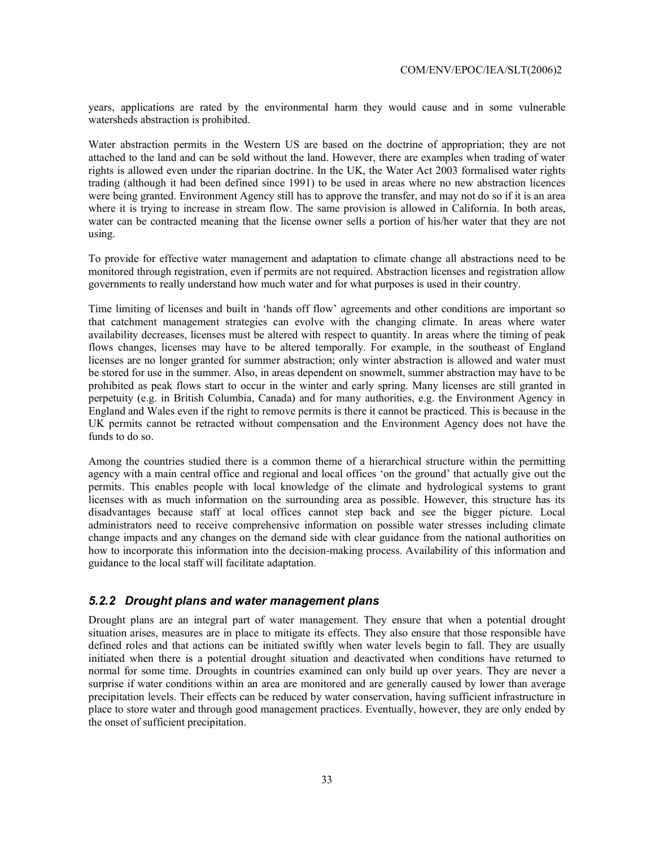years, applications are rated by the environmental harm they would cause and in some vulnerable watersheds abstraction is prohibited.

Water abstraction permits in the Western US are based on the doctrine of appropriation; they are not attached to the land and can be sold without the land. However, there are examples when trading of water rights is allowed even under the riparian doctrine. In the UK, the Water Act 2003 formalised water rights trading (although it had been defined since 1991) to be used in areas where no new abstraction licences were being granted. Environment Agency still has to approve the transfer, and may not do so if it is an area where it is trying to increase in stream flow. The same provision is allowed in California. In both areas, water can be contracted meaning that the license owner sells a portion of his/her water that they are not using.

To provide for effective water management and adaptation to climate change all abstractions need to be monitored through registration, even if permits are not required. Abstraction licenses and registration allow governments to really understand how much water and for what purposes is used in their country.

Time limiting of licenses and built in 'hands off flow' agreements and other conditions are important so that catchment management strategies can evolve with the changing climate. In areas where water availability decreases, licenses must be altered with respect to quantity. In areas where the timing of peak flows changes, licenses may have to be altered temporally. For example, in the southeast of England licenses are no longer granted for summer abstraction; only winter abstraction is allowed and water must be stored for use in the summer. Also, in areas dependent on snowmelt, summer abstraction may have to be prohibited as peak flows start to occur in the winter and early spring. Many licenses are still granted in perpetuity (e.g. in British Columbia, Canada) and for many authorities, e.g. the Environment Agency in England and Wales even if the right to remove permits is there it cannot be practiced. This is because in the UK permits cannot be retracted without compensation and the Environment Agency does not have the funds to do so.

Among the countries studied there is a common theme of a hierarchical structure within the permitting agency with a main central office and regional and local offices 'on the ground' that actually give out the permits. This enables people with local knowledge of the climate and hydrological systems to grant licenses with as much information on the surrounding area as possible. However, this structure has its disadvantages because staff at local offices cannot step back and see the bigger picture. Local administrators need to receive comprehensive information on possible water stresses including climate change impacts and any changes on the demand side with clear guidance from the national authorities on how to incorporate this information into the decision-making process. Availability of this information and guidance to the local staff will facilitate adaptation.

#### *5.2.2 Drought plans and water management plans*

Drought plans are an integral part of water management. They ensure that when a potential drought situation arises, measures are in place to mitigate its effects. They also ensure that those responsible have defined roles and that actions can be initiated swiftly when water levels begin to fall. They are usually initiated when there is a potential drought situation and deactivated when conditions have returned to normal for some time. Droughts in countries examined can only build up over years. They are never a surprise if water conditions within an area are monitored and are generally caused by lower than average precipitation levels. Their effects can be reduced by water conservation, having sufficient infrastructure in place to store water and through good management practices. Eventually, however, they are only ended by the onset of sufficient precipitation.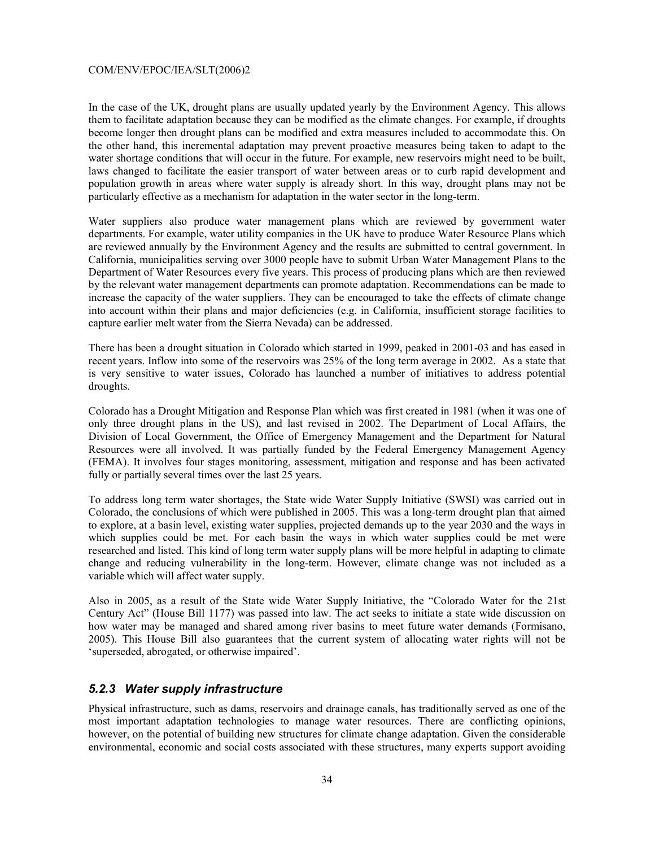In the case of the UK, drought plans are usually updated yearly by the Environment Agency. This allows them to facilitate adaptation because they can be modified as the climate changes. For example, if droughts become longer then drought plans can be modified and extra measures included to accommodate this. On the other hand, this incremental adaptation may prevent proactive measures being taken to adapt to the water shortage conditions that will occur in the future. For example, new reservoirs might need to be built, laws changed to facilitate the easier transport of water between areas or to curb rapid development and population growth in areas where water supply is already short. In this way, drought plans may not be particularly effective as a mechanism for adaptation in the water sector in the long-term.

Water suppliers also produce water management plans which are reviewed by government water departments. For example, water utility companies in the UK have to produce Water Resource Plans which are reviewed annually by the Environment Agency and the results are submitted to central government. In California, municipalities serving over 3000 people have to submit Urban Water Management Plans to the Department of Water Resources every five years. This process of producing plans which are then reviewed by the relevant water management departments can promote adaptation. Recommendations can be made to increase the capacity of the water suppliers. They can be encouraged to take the effects of climate change into account within their plans and major deficiencies (e.g. in California, insufficient storage facilities to capture earlier melt water from the Sierra Nevada) can be addressed.

There has been a drought situation in Colorado which started in 1999, peaked in 2001-03 and has eased in recent years. Inflow into some of the reservoirs was 25% of the long term average in 2002. As a state that is very sensitive to water issues, Colorado has launched a number of initiatives to address potential droughts.

Colorado has a Drought Mitigation and Response Plan which was first created in 1981 (when it was one of only three drought plans in the US), and last revised in 2002. The Department of Local Affairs, the Division of Local Government, the Office of Emergency Management and the Department for Natural Resources were all involved. It was partially funded by the Federal Emergency Management Agency (FEMA). It involves four stages monitoring, assessment, mitigation and response and has been activated fully or partially several times over the last 25 years.

To address long term water shortages, the State wide Water Supply Initiative (SWSI) was carried out in Colorado, the conclusions of which were published in 2005. This was a long-term drought plan that aimed to explore, at a basin level, existing water supplies, projected demands up to the year 2030 and the ways in which supplies could be met. For each basin the ways in which water supplies could be met were researched and listed. This kind of long term water supply plans will be more helpful in adapting to climate change and reducing vulnerability in the long-term. However, climate change was not included as a variable which will affect water supply.

Also in 2005, as a result of the State wide Water Supply Initiative, the "Colorado Water for the 21st Century Act" (House Bill 1177) was passed into law. The act seeks to initiate a state wide discussion on how water may be managed and shared among river basins to meet future water demands (Formisano, 2005). This House Bill also guarantees that the current system of allocating water rights will not be 'superseded, abrogated, or otherwise impaired'.

#### *5.2.3 Water supply infrastructure*

Physical infrastructure, such as dams, reservoirs and drainage canals, has traditionally served as one of the most important adaptation technologies to manage water resources. There are conflicting opinions, however, on the potential of building new structures for climate change adaptation. Given the considerable environmental, economic and social costs associated with these structures, many experts support avoiding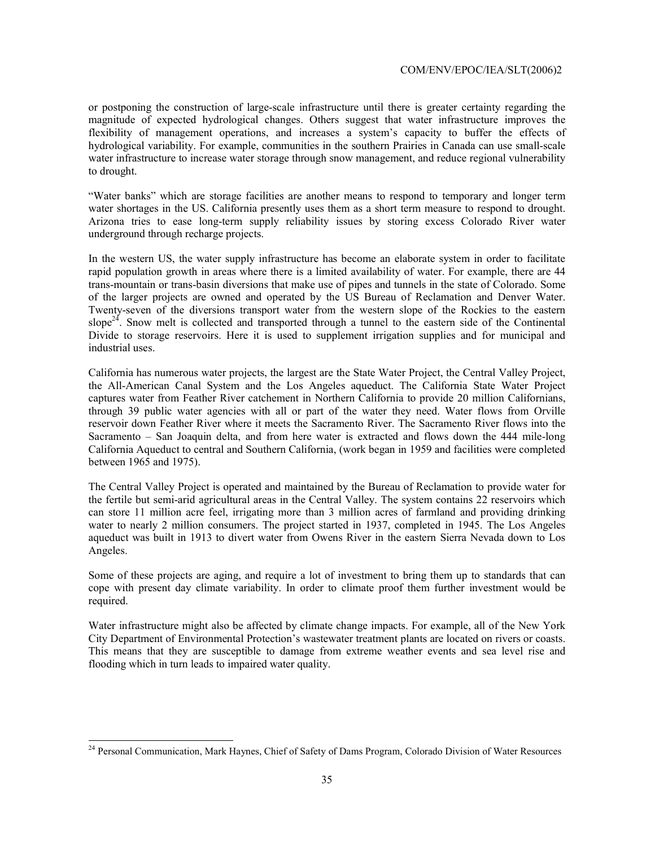or postponing the construction of large-scale infrastructure until there is greater certainty regarding the magnitude of expected hydrological changes. Others suggest that water infrastructure improves the flexibility of management operations, and increases a system's capacity to buffer the effects of hydrological variability. For example, communities in the southern Prairies in Canada can use small-scale water infrastructure to increase water storage through snow management, and reduce regional vulnerability to drought.

"Water banks" which are storage facilities are another means to respond to temporary and longer term water shortages in the US. California presently uses them as a short term measure to respond to drought. Arizona tries to ease long-term supply reliability issues by storing excess Colorado River water underground through recharge projects.

In the western US, the water supply infrastructure has become an elaborate system in order to facilitate rapid population growth in areas where there is a limited availability of water. For example, there are 44 trans-mountain or trans-basin diversions that make use of pipes and tunnels in the state of Colorado. Some of the larger projects are owned and operated by the US Bureau of Reclamation and Denver Water. Twenty-seven of the diversions transport water from the western slope of the Rockies to the eastern slope<sup>24</sup>. Snow melt is collected and transported through a tunnel to the eastern side of the Continental Divide to storage reservoirs. Here it is used to supplement irrigation supplies and for municipal and industrial uses.

California has numerous water projects, the largest are the State Water Project, the Central Valley Project, the All-American Canal System and the Los Angeles aqueduct. The California State Water Project captures water from Feather River catchement in Northern California to provide 20 million Californians, through 39 public water agencies with all or part of the water they need. Water flows from Orville reservoir down Feather River where it meets the Sacramento River. The Sacramento River flows into the Sacramento – San Joaquin delta, and from here water is extracted and flows down the 444 mile-long California Aqueduct to central and Southern California, (work began in 1959 and facilities were completed between 1965 and 1975).

The Central Valley Project is operated and maintained by the Bureau of Reclamation to provide water for the fertile but semi-arid agricultural areas in the Central Valley. The system contains 22 reservoirs which can store 11 million acre feel, irrigating more than 3 million acres of farmland and providing drinking water to nearly 2 million consumers. The project started in 1937, completed in 1945. The Los Angeles aqueduct was built in 1913 to divert water from Owens River in the eastern Sierra Nevada down to Los Angeles.

Some of these projects are aging, and require a lot of investment to bring them up to standards that can cope with present day climate variability. In order to climate proof them further investment would be required.

Water infrastructure might also be affected by climate change impacts. For example, all of the New York City Department of Environmental Protection's wastewater treatment plants are located on rivers or coasts. This means that they are susceptible to damage from extreme weather events and sea level rise and flooding which in turn leads to impaired water quality.

l

<sup>&</sup>lt;sup>24</sup> Personal Communication, Mark Haynes, Chief of Safety of Dams Program, Colorado Division of Water Resources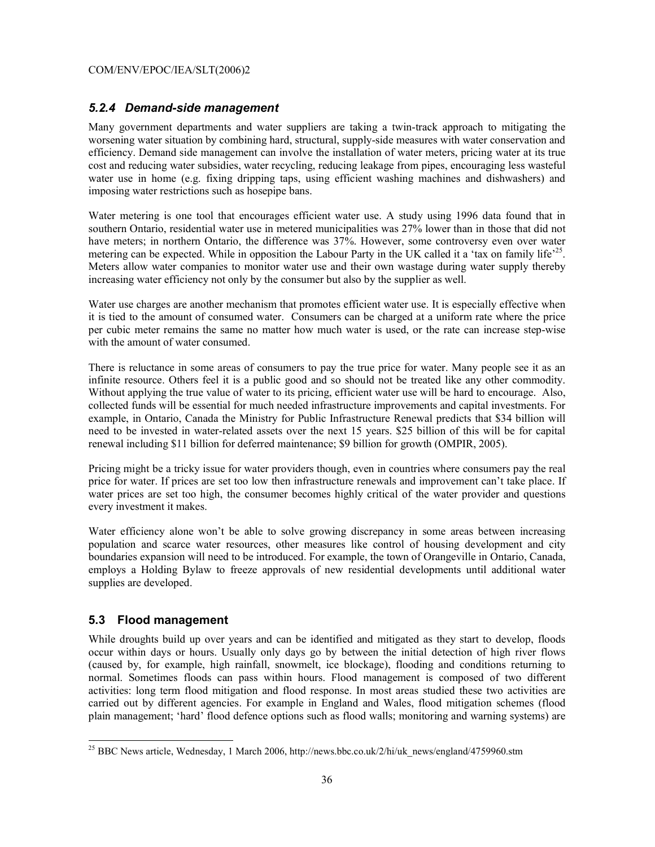#### *5.2.4 Demand-side management*

Many government departments and water suppliers are taking a twin-track approach to mitigating the worsening water situation by combining hard, structural, supply-side measures with water conservation and efficiency. Demand side management can involve the installation of water meters, pricing water at its true cost and reducing water subsidies, water recycling, reducing leakage from pipes, encouraging less wasteful water use in home (e.g. fixing dripping taps, using efficient washing machines and dishwashers) and imposing water restrictions such as hosepipe bans.

Water metering is one tool that encourages efficient water use. A study using 1996 data found that in southern Ontario, residential water use in metered municipalities was 27% lower than in those that did not have meters; in northern Ontario, the difference was 37%. However, some controversy even over water metering can be expected. While in opposition the Labour Party in the UK called it a 'tax on family life'<sup>25</sup>. Meters allow water companies to monitor water use and their own wastage during water supply thereby increasing water efficiency not only by the consumer but also by the supplier as well.

Water use charges are another mechanism that promotes efficient water use. It is especially effective when it is tied to the amount of consumed water. Consumers can be charged at a uniform rate where the price per cubic meter remains the same no matter how much water is used, or the rate can increase step-wise with the amount of water consumed.

There is reluctance in some areas of consumers to pay the true price for water. Many people see it as an infinite resource. Others feel it is a public good and so should not be treated like any other commodity. Without applying the true value of water to its pricing, efficient water use will be hard to encourage. Also, collected funds will be essential for much needed infrastructure improvements and capital investments. For example, in Ontario, Canada the Ministry for Public Infrastructure Renewal predicts that \$34 billion will need to be invested in water-related assets over the next 15 years. \$25 billion of this will be for capital renewal including \$11 billion for deferred maintenance; \$9 billion for growth (OMPIR, 2005).

Pricing might be a tricky issue for water providers though, even in countries where consumers pay the real price for water. If prices are set too low then infrastructure renewals and improvement can't take place. If water prices are set too high, the consumer becomes highly critical of the water provider and questions every investment it makes.

Water efficiency alone won't be able to solve growing discrepancy in some areas between increasing population and scarce water resources, other measures like control of housing development and city boundaries expansion will need to be introduced. For example, the town of Orangeville in Ontario, Canada, employs a Holding Bylaw to freeze approvals of new residential developments until additional water supplies are developed.

#### **5.3 Flood management**

l

While droughts build up over years and can be identified and mitigated as they start to develop, floods occur within days or hours. Usually only days go by between the initial detection of high river flows (caused by, for example, high rainfall, snowmelt, ice blockage), flooding and conditions returning to normal. Sometimes floods can pass within hours. Flood management is composed of two different activities: long term flood mitigation and flood response. In most areas studied these two activities are carried out by different agencies. For example in England and Wales, flood mitigation schemes (flood plain management; 'hard' flood defence options such as flood walls; monitoring and warning systems) are

<sup>&</sup>lt;sup>25</sup> BBC News article, Wednesday, 1 March 2006, http://news.bbc.co.uk/2/hi/uk\_news/england/4759960.stm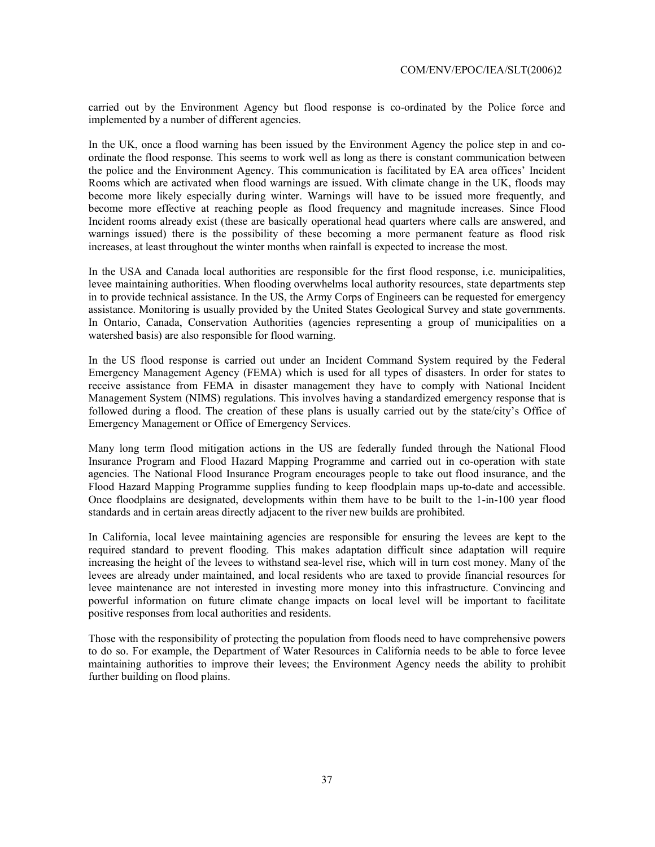carried out by the Environment Agency but flood response is co-ordinated by the Police force and implemented by a number of different agencies.

In the UK, once a flood warning has been issued by the Environment Agency the police step in and coordinate the flood response. This seems to work well as long as there is constant communication between the police and the Environment Agency. This communication is facilitated by EA area offices' Incident Rooms which are activated when flood warnings are issued. With climate change in the UK, floods may become more likely especially during winter. Warnings will have to be issued more frequently, and become more effective at reaching people as flood frequency and magnitude increases. Since Flood Incident rooms already exist (these are basically operational head quarters where calls are answered, and warnings issued) there is the possibility of these becoming a more permanent feature as flood risk increases, at least throughout the winter months when rainfall is expected to increase the most.

In the USA and Canada local authorities are responsible for the first flood response, i.e. municipalities, levee maintaining authorities. When flooding overwhelms local authority resources, state departments step in to provide technical assistance. In the US, the Army Corps of Engineers can be requested for emergency assistance. Monitoring is usually provided by the United States Geological Survey and state governments. In Ontario, Canada, Conservation Authorities (agencies representing a group of municipalities on a watershed basis) are also responsible for flood warning.

In the US flood response is carried out under an Incident Command System required by the Federal Emergency Management Agency (FEMA) which is used for all types of disasters. In order for states to receive assistance from FEMA in disaster management they have to comply with National Incident Management System (NIMS) regulations. This involves having a standardized emergency response that is followed during a flood. The creation of these plans is usually carried out by the state/city's Office of Emergency Management or Office of Emergency Services.

Many long term flood mitigation actions in the US are federally funded through the National Flood Insurance Program and Flood Hazard Mapping Programme and carried out in co-operation with state agencies. The National Flood Insurance Program encourages people to take out flood insurance, and the Flood Hazard Mapping Programme supplies funding to keep floodplain maps up-to-date and accessible. Once floodplains are designated, developments within them have to be built to the 1-in-100 year flood standards and in certain areas directly adjacent to the river new builds are prohibited.

In California, local levee maintaining agencies are responsible for ensuring the levees are kept to the required standard to prevent flooding. This makes adaptation difficult since adaptation will require increasing the height of the levees to withstand sea-level rise, which will in turn cost money. Many of the levees are already under maintained, and local residents who are taxed to provide financial resources for levee maintenance are not interested in investing more money into this infrastructure. Convincing and powerful information on future climate change impacts on local level will be important to facilitate positive responses from local authorities and residents.

Those with the responsibility of protecting the population from floods need to have comprehensive powers to do so. For example, the Department of Water Resources in California needs to be able to force levee maintaining authorities to improve their levees; the Environment Agency needs the ability to prohibit further building on flood plains.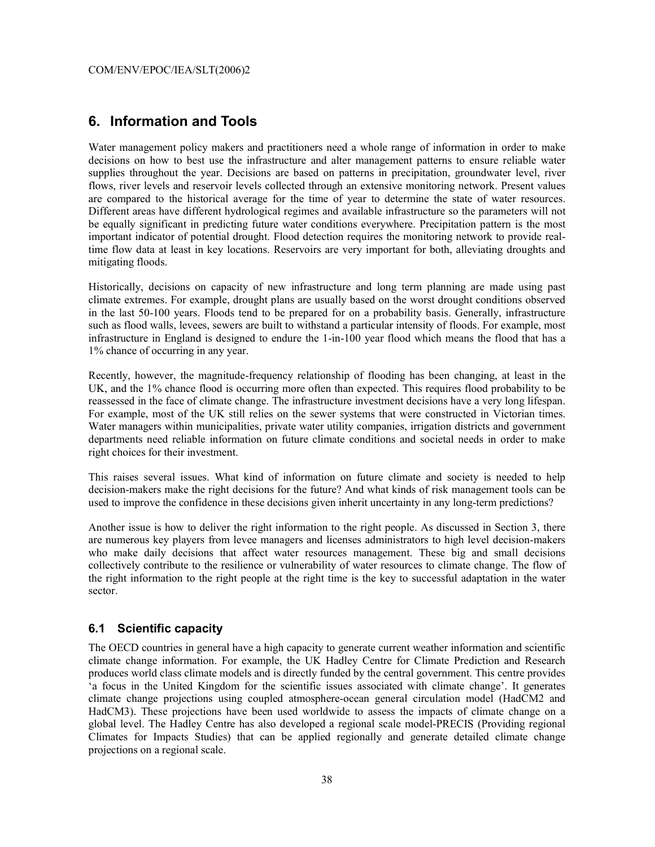#### **6. Information and Tools**

Water management policy makers and practitioners need a whole range of information in order to make decisions on how to best use the infrastructure and alter management patterns to ensure reliable water supplies throughout the year. Decisions are based on patterns in precipitation, groundwater level, river flows, river levels and reservoir levels collected through an extensive monitoring network. Present values are compared to the historical average for the time of year to determine the state of water resources. Different areas have different hydrological regimes and available infrastructure so the parameters will not be equally significant in predicting future water conditions everywhere. Precipitation pattern is the most important indicator of potential drought. Flood detection requires the monitoring network to provide realtime flow data at least in key locations. Reservoirs are very important for both, alleviating droughts and mitigating floods.

Historically, decisions on capacity of new infrastructure and long term planning are made using past climate extremes. For example, drought plans are usually based on the worst drought conditions observed in the last 50-100 years. Floods tend to be prepared for on a probability basis. Generally, infrastructure such as flood walls, levees, sewers are built to withstand a particular intensity of floods. For example, most infrastructure in England is designed to endure the 1-in-100 year flood which means the flood that has a 1% chance of occurring in any year.

Recently, however, the magnitude-frequency relationship of flooding has been changing, at least in the UK, and the 1% chance flood is occurring more often than expected. This requires flood probability to be reassessed in the face of climate change. The infrastructure investment decisions have a very long lifespan. For example, most of the UK still relies on the sewer systems that were constructed in Victorian times. Water managers within municipalities, private water utility companies, irrigation districts and government departments need reliable information on future climate conditions and societal needs in order to make right choices for their investment.

This raises several issues. What kind of information on future climate and society is needed to help decision-makers make the right decisions for the future? And what kinds of risk management tools can be used to improve the confidence in these decisions given inherit uncertainty in any long-term predictions?

Another issue is how to deliver the right information to the right people. As discussed in Section 3, there are numerous key players from levee managers and licenses administrators to high level decision-makers who make daily decisions that affect water resources management. These big and small decisions collectively contribute to the resilience or vulnerability of water resources to climate change. The flow of the right information to the right people at the right time is the key to successful adaptation in the water sector.

#### **6.1 Scientific capacity**

The OECD countries in general have a high capacity to generate current weather information and scientific climate change information. For example, the UK Hadley Centre for Climate Prediction and Research produces world class climate models and is directly funded by the central government. This centre provides 'a focus in the United Kingdom for the scientific issues associated with climate change'. It generates climate change projections using coupled atmosphere-ocean general circulation model (HadCM2 and HadCM3). These projections have been used worldwide to assess the impacts of climate change on a global level. The Hadley Centre has also developed a regional scale model-PRECIS (Providing regional Climates for Impacts Studies) that can be applied regionally and generate detailed climate change projections on a regional scale.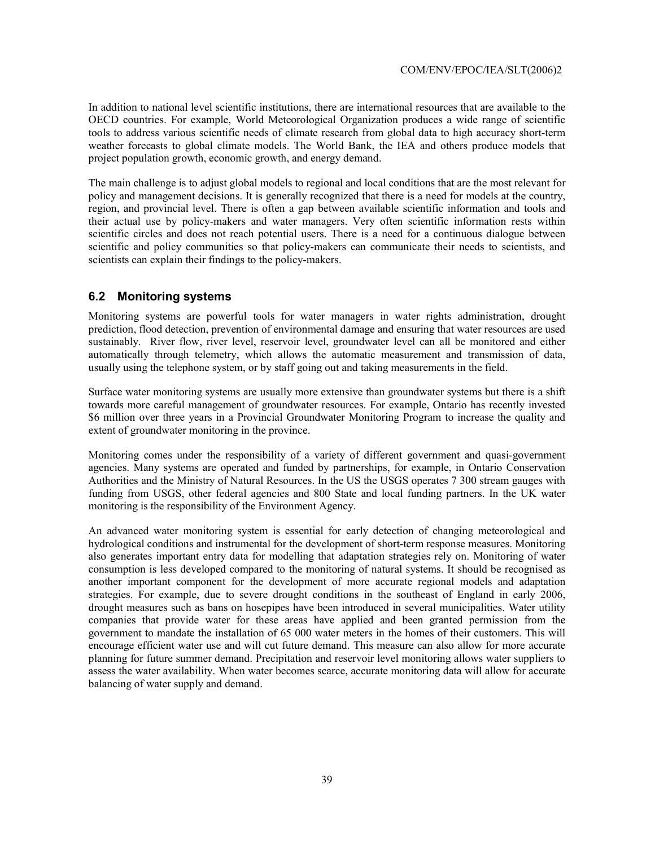In addition to national level scientific institutions, there are international resources that are available to the OECD countries. For example, World Meteorological Organization produces a wide range of scientific tools to address various scientific needs of climate research from global data to high accuracy short-term weather forecasts to global climate models. The World Bank, the IEA and others produce models that project population growth, economic growth, and energy demand.

The main challenge is to adjust global models to regional and local conditions that are the most relevant for policy and management decisions. It is generally recognized that there is a need for models at the country, region, and provincial level. There is often a gap between available scientific information and tools and their actual use by policy-makers and water managers. Very often scientific information rests within scientific circles and does not reach potential users. There is a need for a continuous dialogue between scientific and policy communities so that policy-makers can communicate their needs to scientists, and scientists can explain their findings to the policy-makers.

#### **6.2 Monitoring systems**

Monitoring systems are powerful tools for water managers in water rights administration, drought prediction, flood detection, prevention of environmental damage and ensuring that water resources are used sustainably. River flow, river level, reservoir level, groundwater level can all be monitored and either automatically through telemetry, which allows the automatic measurement and transmission of data, usually using the telephone system, or by staff going out and taking measurements in the field.

Surface water monitoring systems are usually more extensive than groundwater systems but there is a shift towards more careful management of groundwater resources. For example, Ontario has recently invested \$6 million over three years in a Provincial Groundwater Monitoring Program to increase the quality and extent of groundwater monitoring in the province.

Monitoring comes under the responsibility of a variety of different government and quasi-government agencies. Many systems are operated and funded by partnerships, for example, in Ontario Conservation Authorities and the Ministry of Natural Resources. In the US the USGS operates 7 300 stream gauges with funding from USGS, other federal agencies and 800 State and local funding partners. In the UK water monitoring is the responsibility of the Environment Agency.

An advanced water monitoring system is essential for early detection of changing meteorological and hydrological conditions and instrumental for the development of short-term response measures. Monitoring also generates important entry data for modelling that adaptation strategies rely on. Monitoring of water consumption is less developed compared to the monitoring of natural systems. It should be recognised as another important component for the development of more accurate regional models and adaptation strategies. For example, due to severe drought conditions in the southeast of England in early 2006, drought measures such as bans on hosepipes have been introduced in several municipalities. Water utility companies that provide water for these areas have applied and been granted permission from the government to mandate the installation of 65 000 water meters in the homes of their customers. This will encourage efficient water use and will cut future demand. This measure can also allow for more accurate planning for future summer demand. Precipitation and reservoir level monitoring allows water suppliers to assess the water availability. When water becomes scarce, accurate monitoring data will allow for accurate balancing of water supply and demand.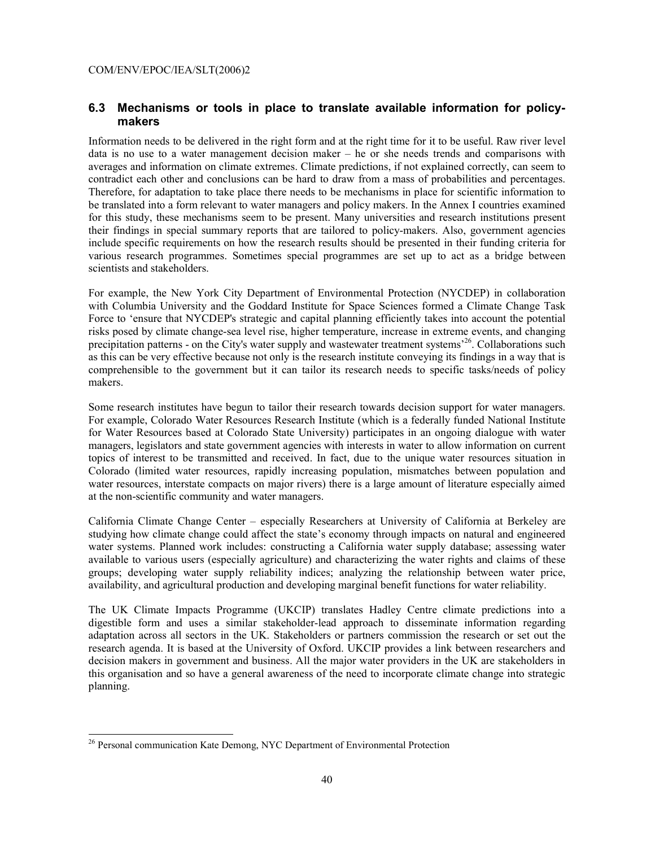#### **6.3 Mechanisms or tools in place to translate available information for policymakers**

Information needs to be delivered in the right form and at the right time for it to be useful. Raw river level data is no use to a water management decision maker – he or she needs trends and comparisons with averages and information on climate extremes. Climate predictions, if not explained correctly, can seem to contradict each other and conclusions can be hard to draw from a mass of probabilities and percentages. Therefore, for adaptation to take place there needs to be mechanisms in place for scientific information to be translated into a form relevant to water managers and policy makers. In the Annex I countries examined for this study, these mechanisms seem to be present. Many universities and research institutions present their findings in special summary reports that are tailored to policy-makers. Also, government agencies include specific requirements on how the research results should be presented in their funding criteria for various research programmes. Sometimes special programmes are set up to act as a bridge between scientists and stakeholders.

For example, the New York City Department of Environmental Protection (NYCDEP) in collaboration with Columbia University and the Goddard Institute for Space Sciences formed a Climate Change Task Force to 'ensure that NYCDEP's strategic and capital planning efficiently takes into account the potential risks posed by climate change-sea level rise, higher temperature, increase in extreme events, and changing precipitation patterns - on the City's water supply and wastewater treatment systems<sup>26</sup>. Collaborations such as this can be very effective because not only is the research institute conveying its findings in a way that is comprehensible to the government but it can tailor its research needs to specific tasks/needs of policy makers.

Some research institutes have begun to tailor their research towards decision support for water managers. For example, Colorado Water Resources Research Institute (which is a federally funded National Institute for Water Resources based at Colorado State University) participates in an ongoing dialogue with water managers, legislators and state government agencies with interests in water to allow information on current topics of interest to be transmitted and received. In fact, due to the unique water resources situation in Colorado (limited water resources, rapidly increasing population, mismatches between population and water resources, interstate compacts on major rivers) there is a large amount of literature especially aimed at the non-scientific community and water managers.

California Climate Change Center – especially Researchers at University of California at Berkeley are studying how climate change could affect the state's economy through impacts on natural and engineered water systems. Planned work includes: constructing a California water supply database; assessing water available to various users (especially agriculture) and characterizing the water rights and claims of these groups; developing water supply reliability indices; analyzing the relationship between water price, availability, and agricultural production and developing marginal benefit functions for water reliability.

The UK Climate Impacts Programme (UKCIP) translates Hadley Centre climate predictions into a digestible form and uses a similar stakeholder-lead approach to disseminate information regarding adaptation across all sectors in the UK. Stakeholders or partners commission the research or set out the research agenda. It is based at the University of Oxford. UKCIP provides a link between researchers and decision makers in government and business. All the major water providers in the UK are stakeholders in this organisation and so have a general awareness of the need to incorporate climate change into strategic planning.

l

<sup>&</sup>lt;sup>26</sup> Personal communication Kate Demong, NYC Department of Environmental Protection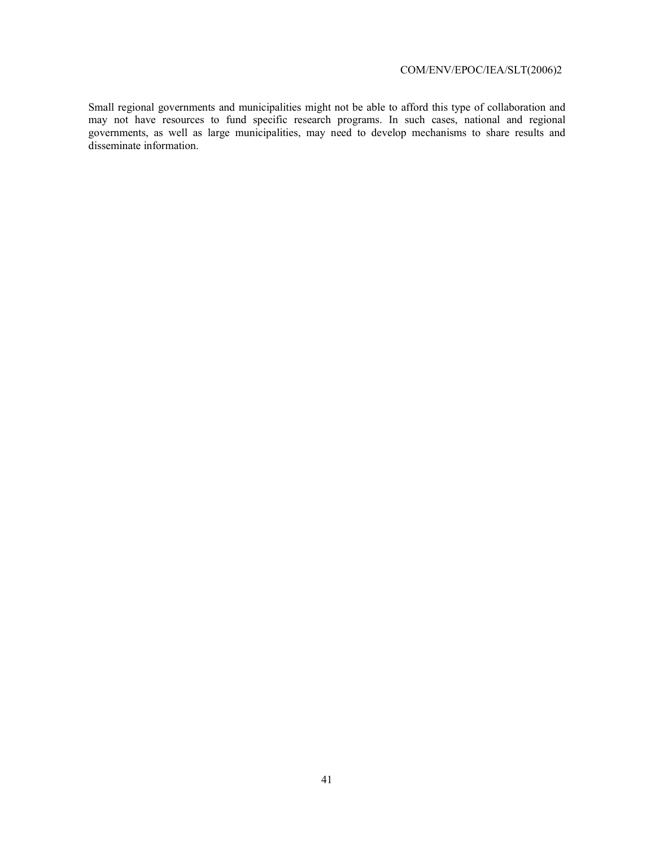Small regional governments and municipalities might not be able to afford this type of collaboration and may not have resources to fund specific research programs. In such cases, national and regional governments, as well as large municipalities, may need to develop mechanisms to share results and disseminate information.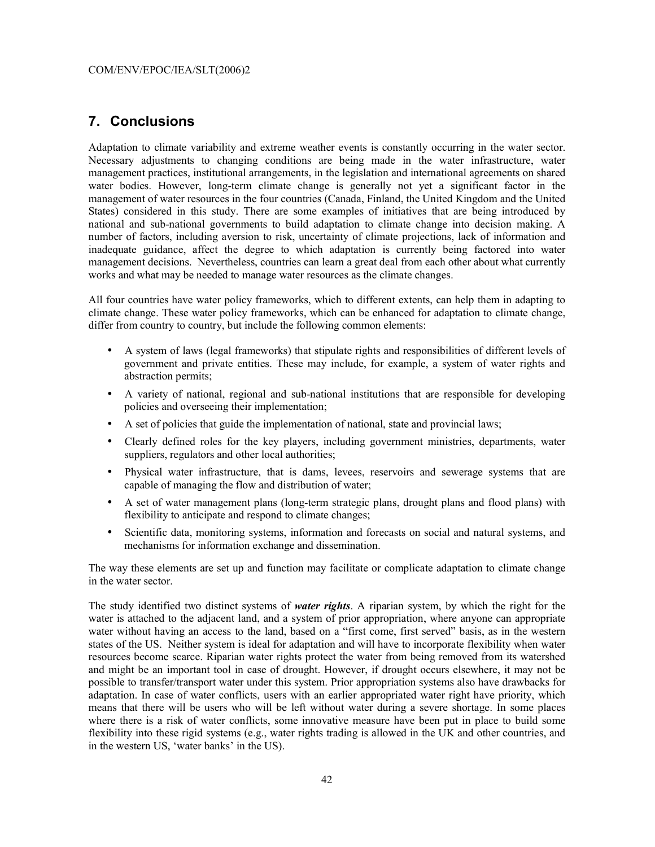#### **7. Conclusions**

Adaptation to climate variability and extreme weather events is constantly occurring in the water sector. Necessary adjustments to changing conditions are being made in the water infrastructure, water management practices, institutional arrangements, in the legislation and international agreements on shared water bodies. However, long-term climate change is generally not yet a significant factor in the management of water resources in the four countries (Canada, Finland, the United Kingdom and the United States) considered in this study. There are some examples of initiatives that are being introduced by national and sub-national governments to build adaptation to climate change into decision making. A number of factors, including aversion to risk, uncertainty of climate projections, lack of information and inadequate guidance, affect the degree to which adaptation is currently being factored into water management decisions. Nevertheless, countries can learn a great deal from each other about what currently works and what may be needed to manage water resources as the climate changes.

All four countries have water policy frameworks, which to different extents, can help them in adapting to climate change. These water policy frameworks, which can be enhanced for adaptation to climate change, differ from country to country, but include the following common elements:

- A system of laws (legal frameworks) that stipulate rights and responsibilities of different levels of government and private entities. These may include, for example, a system of water rights and abstraction permits;
- A variety of national, regional and sub-national institutions that are responsible for developing policies and overseeing their implementation;
- A set of policies that guide the implementation of national, state and provincial laws;
- Clearly defined roles for the key players, including government ministries, departments, water suppliers, regulators and other local authorities;
- Physical water infrastructure, that is dams, levees, reservoirs and sewerage systems that are capable of managing the flow and distribution of water;
- A set of water management plans (long-term strategic plans, drought plans and flood plans) with flexibility to anticipate and respond to climate changes;
- Scientific data, monitoring systems, information and forecasts on social and natural systems, and mechanisms for information exchange and dissemination.

The way these elements are set up and function may facilitate or complicate adaptation to climate change in the water sector.

The study identified two distinct systems of *water rights*. A riparian system, by which the right for the water is attached to the adjacent land, and a system of prior appropriation, where anyone can appropriate water without having an access to the land, based on a "first come, first served" basis, as in the western states of the US. Neither system is ideal for adaptation and will have to incorporate flexibility when water resources become scarce. Riparian water rights protect the water from being removed from its watershed and might be an important tool in case of drought. However, if drought occurs elsewhere, it may not be possible to transfer/transport water under this system. Prior appropriation systems also have drawbacks for adaptation. In case of water conflicts, users with an earlier appropriated water right have priority, which means that there will be users who will be left without water during a severe shortage. In some places where there is a risk of water conflicts, some innovative measure have been put in place to build some flexibility into these rigid systems (e.g., water rights trading is allowed in the UK and other countries, and in the western US, 'water banks' in the US).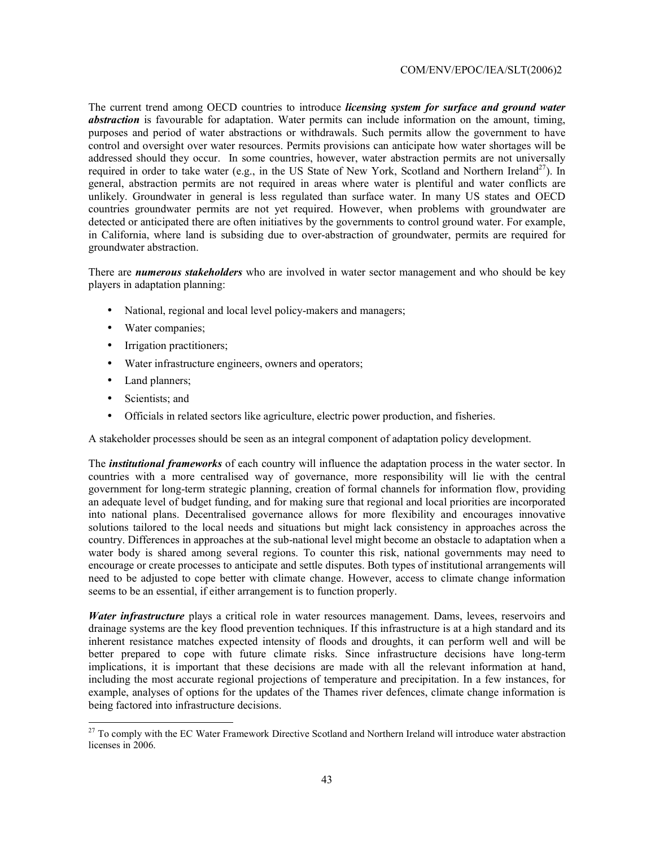The current trend among OECD countries to introduce *licensing system for surface and ground water abstraction* is favourable for adaptation. Water permits can include information on the amount, timing, purposes and period of water abstractions or withdrawals. Such permits allow the government to have control and oversight over water resources. Permits provisions can anticipate how water shortages will be addressed should they occur. In some countries, however, water abstraction permits are not universally required in order to take water (e.g., in the US State of New York, Scotland and Northern Ireland<sup>27</sup>). In general, abstraction permits are not required in areas where water is plentiful and water conflicts are unlikely. Groundwater in general is less regulated than surface water. In many US states and OECD countries groundwater permits are not yet required. However, when problems with groundwater are detected or anticipated there are often initiatives by the governments to control ground water. For example, in California, where land is subsiding due to over-abstraction of groundwater, permits are required for groundwater abstraction.

There are *numerous stakeholders* who are involved in water sector management and who should be key players in adaptation planning:

- National, regional and local level policy-makers and managers;
- Water companies;
- Irrigation practitioners;
- Water infrastructure engineers, owners and operators;
- Land planners;
- Scientists: and

 $\overline{a}$ 

• Officials in related sectors like agriculture, electric power production, and fisheries.

A stakeholder processes should be seen as an integral component of adaptation policy development.

The *institutional frameworks* of each country will influence the adaptation process in the water sector. In countries with a more centralised way of governance, more responsibility will lie with the central government for long-term strategic planning, creation of formal channels for information flow, providing an adequate level of budget funding, and for making sure that regional and local priorities are incorporated into national plans. Decentralised governance allows for more flexibility and encourages innovative solutions tailored to the local needs and situations but might lack consistency in approaches across the country. Differences in approaches at the sub-national level might become an obstacle to adaptation when a water body is shared among several regions. To counter this risk, national governments may need to encourage or create processes to anticipate and settle disputes. Both types of institutional arrangements will need to be adjusted to cope better with climate change. However, access to climate change information seems to be an essential, if either arrangement is to function properly.

*Water infrastructure* plays a critical role in water resources management. Dams, levees, reservoirs and drainage systems are the key flood prevention techniques. If this infrastructure is at a high standard and its inherent resistance matches expected intensity of floods and droughts, it can perform well and will be better prepared to cope with future climate risks. Since infrastructure decisions have long-term implications, it is important that these decisions are made with all the relevant information at hand, including the most accurate regional projections of temperature and precipitation. In a few instances, for example, analyses of options for the updates of the Thames river defences, climate change information is being factored into infrastructure decisions.

 $27$  To comply with the EC Water Framework Directive Scotland and Northern Ireland will introduce water abstraction licenses in 2006.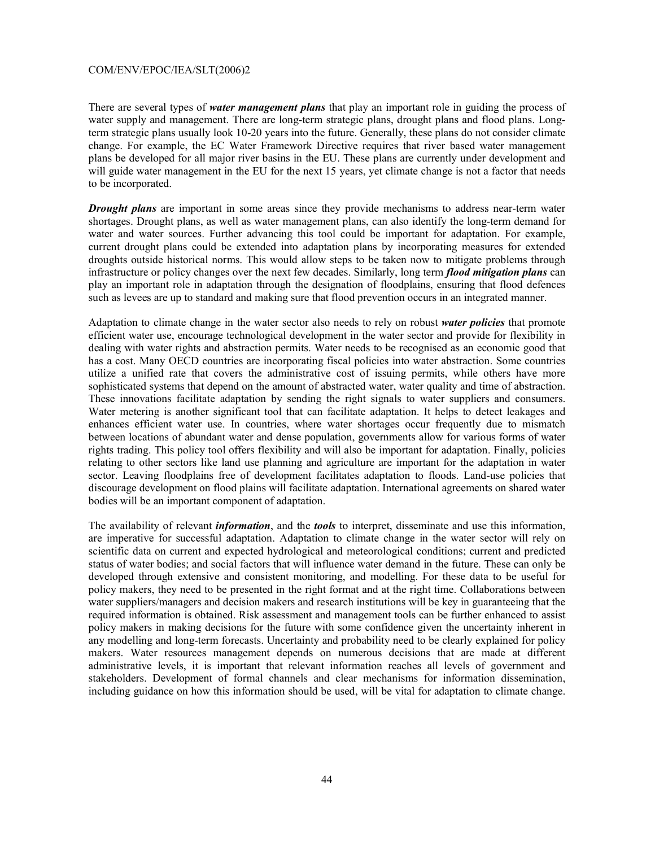There are several types of *water management plans* that play an important role in guiding the process of water supply and management. There are long-term strategic plans, drought plans and flood plans. Longterm strategic plans usually look 10-20 years into the future. Generally, these plans do not consider climate change. For example, the EC Water Framework Directive requires that river based water management plans be developed for all major river basins in the EU. These plans are currently under development and will guide water management in the EU for the next 15 years, yet climate change is not a factor that needs to be incorporated.

*Drought plans* are important in some areas since they provide mechanisms to address near-term water shortages. Drought plans, as well as water management plans, can also identify the long-term demand for water and water sources. Further advancing this tool could be important for adaptation. For example, current drought plans could be extended into adaptation plans by incorporating measures for extended droughts outside historical norms. This would allow steps to be taken now to mitigate problems through infrastructure or policy changes over the next few decades. Similarly, long term *flood mitigation plans* can play an important role in adaptation through the designation of floodplains, ensuring that flood defences such as levees are up to standard and making sure that flood prevention occurs in an integrated manner.

Adaptation to climate change in the water sector also needs to rely on robust *water policies* that promote efficient water use, encourage technological development in the water sector and provide for flexibility in dealing with water rights and abstraction permits. Water needs to be recognised as an economic good that has a cost. Many OECD countries are incorporating fiscal policies into water abstraction. Some countries utilize a unified rate that covers the administrative cost of issuing permits, while others have more sophisticated systems that depend on the amount of abstracted water, water quality and time of abstraction. These innovations facilitate adaptation by sending the right signals to water suppliers and consumers. Water metering is another significant tool that can facilitate adaptation. It helps to detect leakages and enhances efficient water use. In countries, where water shortages occur frequently due to mismatch between locations of abundant water and dense population, governments allow for various forms of water rights trading. This policy tool offers flexibility and will also be important for adaptation. Finally, policies relating to other sectors like land use planning and agriculture are important for the adaptation in water sector. Leaving floodplains free of development facilitates adaptation to floods. Land-use policies that discourage development on flood plains will facilitate adaptation. International agreements on shared water bodies will be an important component of adaptation.

The availability of relevant *information*, and the *tools* to interpret, disseminate and use this information, are imperative for successful adaptation. Adaptation to climate change in the water sector will rely on scientific data on current and expected hydrological and meteorological conditions; current and predicted status of water bodies; and social factors that will influence water demand in the future. These can only be developed through extensive and consistent monitoring, and modelling. For these data to be useful for policy makers, they need to be presented in the right format and at the right time. Collaborations between water suppliers/managers and decision makers and research institutions will be key in guaranteeing that the required information is obtained. Risk assessment and management tools can be further enhanced to assist policy makers in making decisions for the future with some confidence given the uncertainty inherent in any modelling and long-term forecasts. Uncertainty and probability need to be clearly explained for policy makers. Water resources management depends on numerous decisions that are made at different administrative levels, it is important that relevant information reaches all levels of government and stakeholders. Development of formal channels and clear mechanisms for information dissemination, including guidance on how this information should be used, will be vital for adaptation to climate change.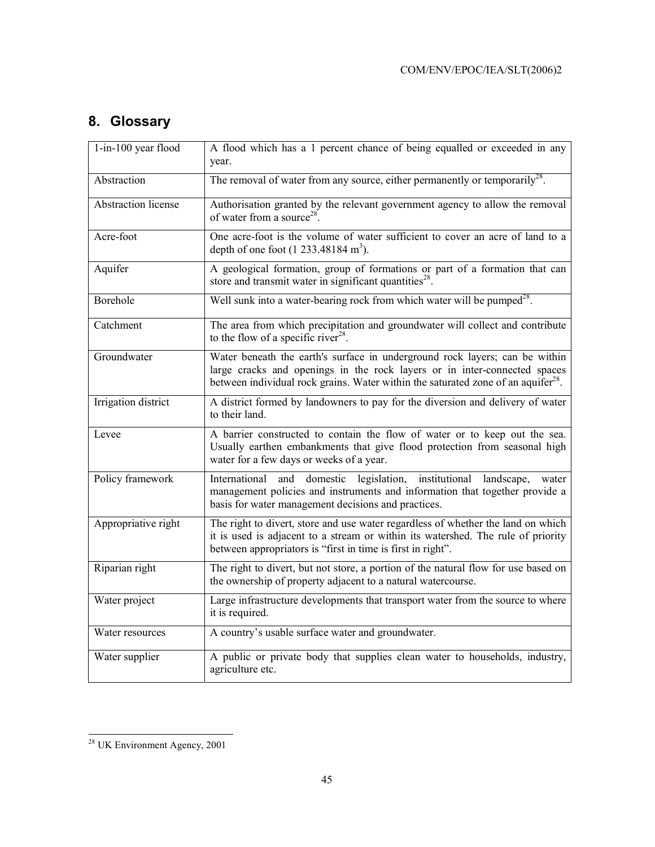## **8. Glossary**

| 1-in-100 year flood        | A flood which has a 1 percent chance of being equalled or exceeded in any<br>year.                                                                                                                                                                        |
|----------------------------|-----------------------------------------------------------------------------------------------------------------------------------------------------------------------------------------------------------------------------------------------------------|
| Abstraction                | The removal of water from any source, either permanently or temporarily <sup>28</sup> .                                                                                                                                                                   |
| <b>Abstraction</b> license | Authorisation granted by the relevant government agency to allow the removal<br>of water from a source <sup>28</sup> .                                                                                                                                    |
| Acre-foot                  | One acre-foot is the volume of water sufficient to cover an acre of land to a<br>depth of one foot $(1\ 233.48184 \text{ m}^3)$ .                                                                                                                         |
| Aquifer                    | A geological formation, group of formations or part of a formation that can<br>store and transmit water in significant quantities <sup>28</sup> .                                                                                                         |
| Borehole                   | Well sunk into a water-bearing rock from which water will be pumped <sup>28</sup> .                                                                                                                                                                       |
| Catchment                  | The area from which precipitation and groundwater will collect and contribute<br>to the flow of a specific river <sup>28</sup> .                                                                                                                          |
| Groundwater                | Water beneath the earth's surface in underground rock layers; can be within<br>large cracks and openings in the rock layers or in inter-connected spaces<br>between individual rock grains. Water within the saturated zone of an aquifer <sup>28</sup> . |
| Irrigation district        | A district formed by landowners to pay for the diversion and delivery of water<br>to their land.                                                                                                                                                          |
| Levee                      | A barrier constructed to contain the flow of water or to keep out the sea.<br>Usually earthen embankments that give flood protection from seasonal high<br>water for a few days or weeks of a year.                                                       |
| Policy framework           | International<br>domestic legislation, institutional<br>and<br>landscape,<br>water<br>management policies and instruments and information that together provide a<br>basis for water management decisions and practices.                                  |
| Appropriative right        | The right to divert, store and use water regardless of whether the land on which<br>it is used is adjacent to a stream or within its watershed. The rule of priority<br>between appropriators is "first in time is first in right".                       |
| Riparian right             | The right to divert, but not store, a portion of the natural flow for use based on<br>the ownership of property adjacent to a natural watercourse.                                                                                                        |
| Water project              | Large infrastructure developments that transport water from the source to where<br>it is required.                                                                                                                                                        |
| Water resources            | A country's usable surface water and groundwater.                                                                                                                                                                                                         |
| Water supplier             | A public or private body that supplies clean water to households, industry,<br>agriculture etc.                                                                                                                                                           |

l  $2<sup>28</sup>$  UK Environment Agency, 2001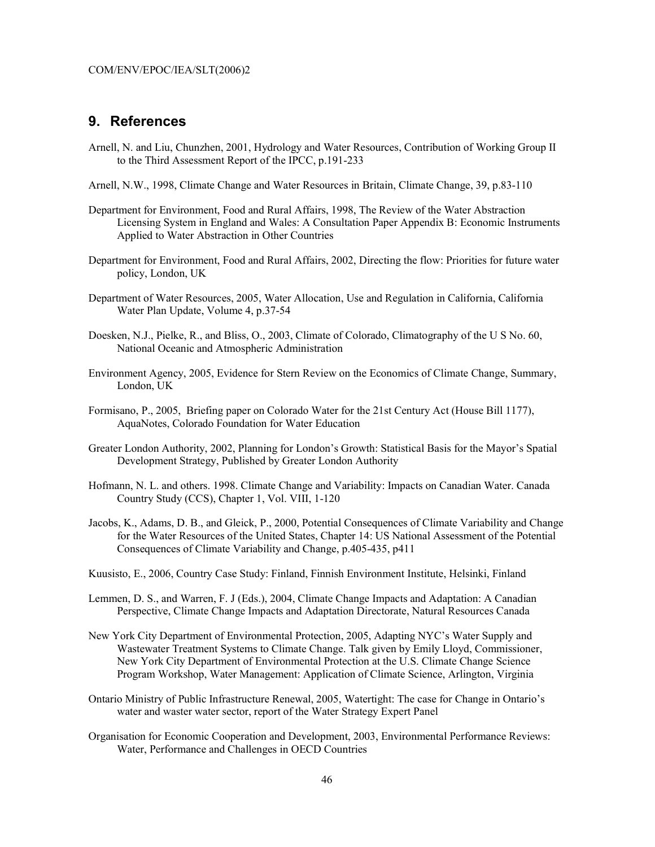#### **9. References**

- Arnell, N. and Liu, Chunzhen, 2001, Hydrology and Water Resources, Contribution of Working Group II to the Third Assessment Report of the IPCC, p.191-233
- Arnell, N.W., 1998, Climate Change and Water Resources in Britain, Climate Change, 39, p.83-110
- Department for Environment, Food and Rural Affairs, 1998, The Review of the Water Abstraction Licensing System in England and Wales: A Consultation Paper Appendix B: Economic Instruments Applied to Water Abstraction in Other Countries
- Department for Environment, Food and Rural Affairs, 2002, Directing the flow: Priorities for future water policy, London, UK
- Department of Water Resources, 2005, Water Allocation, Use and Regulation in California, California Water Plan Update, Volume 4, p.37-54
- Doesken, N.J., Pielke, R., and Bliss, O., 2003, Climate of Colorado, Climatography of the U S No. 60, National Oceanic and Atmospheric Administration
- Environment Agency, 2005, Evidence for Stern Review on the Economics of Climate Change, Summary, London, UK
- Formisano, P., 2005, Briefing paper on Colorado Water for the 21st Century Act (House Bill 1177), AquaNotes, Colorado Foundation for Water Education
- Greater London Authority, 2002, Planning for London's Growth: Statistical Basis for the Mayor's Spatial Development Strategy, Published by Greater London Authority
- Hofmann, N. L. and others. 1998. Climate Change and Variability: Impacts on Canadian Water. Canada Country Study (CCS), Chapter 1, Vol. VIII, 1-120
- Jacobs, K., Adams, D. B., and Gleick, P., 2000, Potential Consequences of Climate Variability and Change for the Water Resources of the United States, Chapter 14: US National Assessment of the Potential Consequences of Climate Variability and Change, p.405-435, p411
- Kuusisto, E., 2006, Country Case Study: Finland, Finnish Environment Institute, Helsinki, Finland
- Lemmen, D. S., and Warren, F. J (Eds.), 2004, Climate Change Impacts and Adaptation: A Canadian Perspective, Climate Change Impacts and Adaptation Directorate, Natural Resources Canada
- New York City Department of Environmental Protection, 2005, Adapting NYC's Water Supply and Wastewater Treatment Systems to Climate Change. Talk given by Emily Lloyd, Commissioner, New York City Department of Environmental Protection at the U.S. Climate Change Science Program Workshop, Water Management: Application of Climate Science, Arlington, Virginia
- Ontario Ministry of Public Infrastructure Renewal, 2005, Watertight: The case for Change in Ontario's water and waster water sector, report of the Water Strategy Expert Panel
- Organisation for Economic Cooperation and Development, 2003, Environmental Performance Reviews: Water, Performance and Challenges in OECD Countries